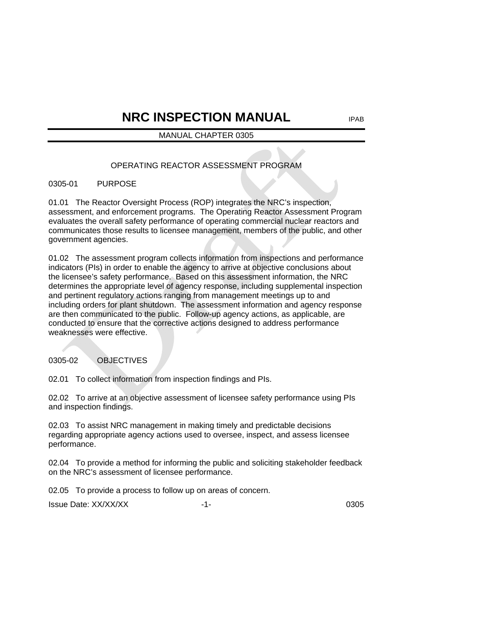# **NRC INSPECTION MANUAL IPAB**

#### MANUAL CHAPTER 0305

#### OPERATING REACTOR ASSESSMENT PROGRAM

#### 0305-01 PURPOSE

01.01 The Reactor Oversight Process (ROP) integrates the NRC's inspection, assessment, and enforcement programs. The Operating Reactor Assessment Program evaluates the overall safety performance of operating commercial nuclear reactors and communicates those results to licensee management, members of the public, and other government agencies.

01.02 The assessment program collects information from inspections and performance indicators (PIs) in order to enable the agency to arrive at objective conclusions about the licensee's safety performance. Based on this assessment information, the NRC determines the appropriate level of agency response, including supplemental inspection and pertinent regulatory actions ranging from management meetings up to and including orders for plant shutdown. The assessment information and agency response are then communicated to the public. Follow-up agency actions, as applicable, are conducted to ensure that the corrective actions designed to address performance weaknesses were effective.

### 0305-02 OBJECTIVES

02.01 To collect information from inspection findings and PIs.

02.02 To arrive at an objective assessment of licensee safety performance using PIs and inspection findings.

02.03 To assist NRC management in making timely and predictable decisions regarding appropriate agency actions used to oversee, inspect, and assess licensee performance.

02.04 To provide a method for informing the public and soliciting stakeholder feedback on the NRC's assessment of licensee performance.

02.05 To provide a process to follow up on areas of concern.

Issue Date: XX/XX/XX -1- 0305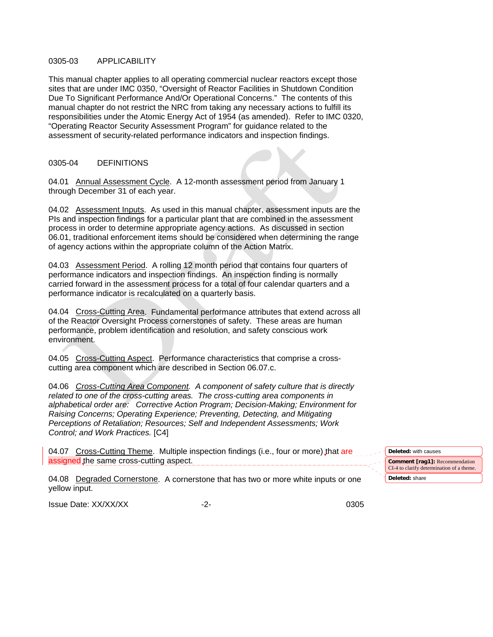#### 0305-03 APPLICABILITY

This manual chapter applies to all operating commercial nuclear reactors except those sites that are under IMC 0350, "Oversight of Reactor Facilities in Shutdown Condition Due To Significant Performance And/Or Operational Concerns." The contents of this manual chapter do not restrict the NRC from taking any necessary actions to fulfill its responsibilities under the Atomic Energy Act of 1954 (as amended). Refer to IMC 0320, "Operating Reactor Security Assessment Program" for guidance related to the assessment of security-related performance indicators and inspection findings.

#### 0305-04 DEFINITIONS

04.01 Annual Assessment Cycle. A 12-month assessment period from January 1 through December 31 of each year.

04.02 Assessment Inputs. As used in this manual chapter, assessment inputs are the PIs and inspection findings for a particular plant that are combined in the assessment process in order to determine appropriate agency actions. As discussed in section 06.01, traditional enforcement items should be considered when determining the range of agency actions within the appropriate column of the Action Matrix.

04.03 Assessment Period. A rolling 12 month period that contains four quarters of performance indicators and inspection findings. An inspection finding is normally carried forward in the assessment process for a total of four calendar quarters and a performance indicator is recalculated on a quarterly basis.

04.04 Cross-Cutting Area. Fundamental performance attributes that extend across all of the Reactor Oversight Process cornerstones of safety. These areas are human performance, problem identification and resolution, and safety conscious work environment.

04.05 Cross-Cutting Aspect. Performance characteristics that comprise a crosscutting area component which are described in Section 06.07.c.

04.06 *Cross-Cutting Area Component. A component of safety culture that is directly*  related to one of the cross-cutting areas. The cross-cutting area components in *alphabetical order are: Corrective Action Program; Decision-Making; Environment for Raising Concerns; Operating Experience; Preventing, Detecting, and Mitigating Perceptions of Retaliation; Resources; Self and Independent Assessments; Work Control; and Work Practices.* [C4]

04.07 Cross-Cutting Theme. Multiple inspection findings (i.e., four or more) that are assigned the same cross-cutting aspect.

**Deleted:** with causes **Comment [rag1]:** Recommendation CI-4 to clarify determination of a theme. **Deleted:** share

04.08 Degraded Cornerstone. A cornerstone that has two or more white inputs or one yellow input.

Issue Date: XX/XX/XX -2- 0305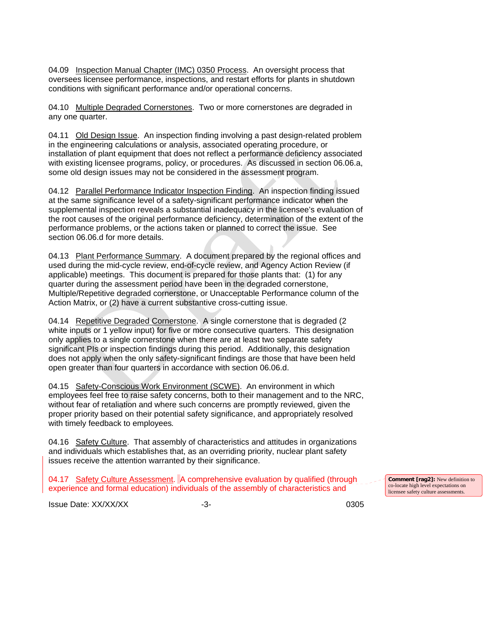04.09 Inspection Manual Chapter (IMC) 0350 Process. An oversight process that oversees licensee performance, inspections, and restart efforts for plants in shutdown conditions with significant performance and/or operational concerns.

04.10 Multiple Degraded Cornerstones. Two or more cornerstones are degraded in any one quarter.

04.11 Old Design Issue. An inspection finding involving a past design-related problem in the engineering calculations or analysis, associated operating procedure, or installation of plant equipment that does not reflect a performance deficiency associated with existing licensee programs, policy, or procedures. As discussed in section 06.06.a, some old design issues may not be considered in the assessment program.

04.12 Parallel Performance Indicator Inspection Finding. An inspection finding issued at the same significance level of a safety-significant performance indicator when the supplemental inspection reveals a substantial inadequacy in the licensee's evaluation of the root causes of the original performance deficiency, determination of the extent of the performance problems, or the actions taken or planned to correct the issue. See section 06.06.d for more details.

04.13 Plant Performance Summary. A document prepared by the regional offices and used during the mid-cycle review, end-of-cycle review, and Agency Action Review (if applicable) meetings. This document is prepared for those plants that: (1) for any quarter during the assessment period have been in the degraded cornerstone, Multiple/Repetitive degraded cornerstone, or Unacceptable Performance column of the Action Matrix, or (2) have a current substantive cross-cutting issue.

04.14 Repetitive Degraded Cornerstone. A single cornerstone that is degraded (2 white inputs or 1 yellow input) for five or more consecutive quarters. This designation only applies to a single cornerstone when there are at least two separate safety significant PIs or inspection findings during this period. Additionally, this designation does not apply when the only safety-significant findings are those that have been held open greater than four quarters in accordance with section 06.06.d.

04.15 Safety-Conscious Work Environment (SCWE). An environment in which employees feel free to raise safety concerns, both to their management and to the NRC, without fear of retaliation and where such concerns are promptly reviewed, given the proper priority based on their potential safety significance, and appropriately resolved with timely feedback to employees*.*

04.16 Safety Culture. That assembly of characteristics and attitudes in organizations and individuals which establishes that, as an overriding priority, nuclear plant safety issues receive the attention warranted by their significance.

04.17 Safety Culture Assessment. A comprehensive evaluation by qualified (through experience and formal education) individuals of the assembly of characteristics and

**Comment [rag2]:** New definition to co-locate high level expectations on licensee safety culture assessments.

Issue Date: XX/XX/XX -3- 0305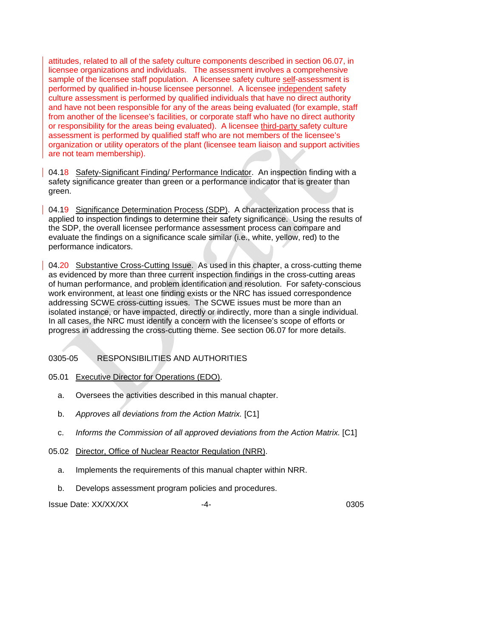attitudes, related to all of the safety culture components described in section 06.07, in licensee organizations and individuals. The assessment involves a comprehensive sample of the licensee staff population. A licensee safety culture self-assessment is performed by qualified in-house licensee personnel. A licensee independent safety culture assessment is performed by qualified individuals that have no direct authority and have not been responsible for any of the areas being evaluated (for example, staff from another of the licensee's facilities, or corporate staff who have no direct authority or responsibility for the areas being evaluated). A licensee third-party safety culture assessment is performed by qualified staff who are not members of the licensee's organization or utility operators of the plant (licensee team liaison and support activities are not team membership).

04.18 Safety-Significant Finding/ Performance Indicator. An inspection finding with a safety significance greater than green or a performance indicator that is greater than green.

04.19 Significance Determination Process (SDP). A characterization process that is applied to inspection findings to determine their safety significance. Using the results of the SDP, the overall licensee performance assessment process can compare and evaluate the findings on a significance scale similar (i.e., white, yellow, red) to the performance indicators.

04.20 Substantive Cross-Cutting Issue. As used in this chapter, a cross-cutting theme as evidenced by more than three current inspection findings in the cross-cutting areas of human performance, and problem identification and resolution. For safety-conscious work environment, at least one finding exists or the NRC has issued correspondence addressing SCWE cross-cutting issues. The SCWE issues must be more than an isolated instance, or have impacted, directly or indirectly, more than a single individual. In all cases, the NRC must identify a concern with the licensee's scope of efforts or progress in addressing the cross-cutting theme. See section 06.07 for more details.

0305-05 RESPONSIBILITIES AND AUTHORITIES

05.01 Executive Director for Operations (EDO).

- a. Oversees the activities described in this manual chapter.
- b. *Approves all deviations from the Action Matrix.* [C1]
- c. *Informs the Commission of all approved deviations from the Action Matrix.* [C1]
- 05.02 Director, Office of Nuclear Reactor Regulation (NRR).
	- a. Implements the requirements of this manual chapter within NRR.
	- b. Develops assessment program policies and procedures.

Issue Date: XX/XX/XX -4- 0305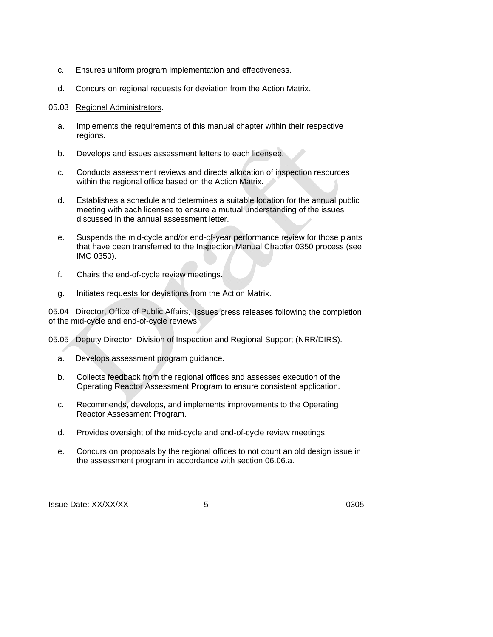- c. Ensures uniform program implementation and effectiveness.
- d. Concurs on regional requests for deviation from the Action Matrix.

#### 05.03 Regional Administrators.

- a. Implements the requirements of this manual chapter within their respective regions.
- b. Develops and issues assessment letters to each licensee.
- c. Conducts assessment reviews and directs allocation of inspection resources within the regional office based on the Action Matrix.
- d. Establishes a schedule and determines a suitable location for the annual public meeting with each licensee to ensure a mutual understanding of the issues discussed in the annual assessment letter.
- e. Suspends the mid-cycle and/or end-of-year performance review for those plants that have been transferred to the Inspection Manual Chapter 0350 process (see IMC 0350).
- f. Chairs the end-of-cycle review meetings.
- g. Initiates requests for deviations from the Action Matrix.

05.04 Director, Office of Public Affairs. Issues press releases following the completion of the mid-cycle and end-of-cycle reviews.

05.05 Deputy Director, Division of Inspection and Regional Support (NRR/DIRS).

- a. Develops assessment program guidance.
- b. Collects feedback from the regional offices and assesses execution of the Operating Reactor Assessment Program to ensure consistent application.
- c. Recommends, develops, and implements improvements to the Operating Reactor Assessment Program.
- d. Provides oversight of the mid-cycle and end-of-cycle review meetings.
- e. Concurs on proposals by the regional offices to not count an old design issue in the assessment program in accordance with section 06.06.a.

Issue Date: XX/XX/XX -5- 0305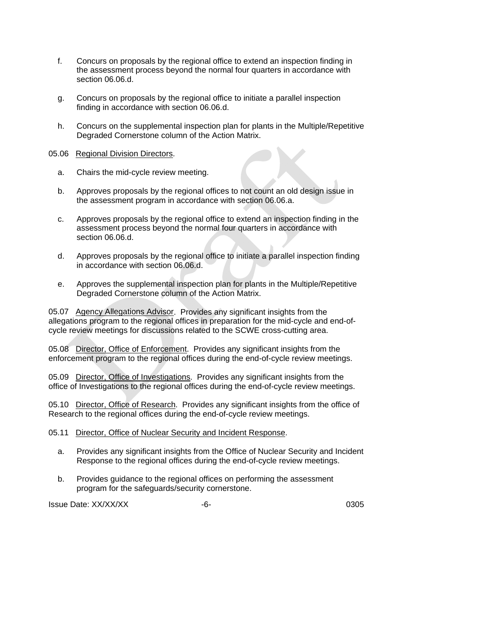- f. Concurs on proposals by the regional office to extend an inspection finding in the assessment process beyond the normal four quarters in accordance with section 06.06.d.
- g. Concurs on proposals by the regional office to initiate a parallel inspection finding in accordance with section 06.06.d.
- h. Concurs on the supplemental inspection plan for plants in the Multiple/Repetitive Degraded Cornerstone column of the Action Matrix.

#### 05.06 Regional Division Directors.

- a. Chairs the mid-cycle review meeting.
- b. Approves proposals by the regional offices to not count an old design issue in the assessment program in accordance with section 06.06.a.
- c. Approves proposals by the regional office to extend an inspection finding in the assessment process beyond the normal four quarters in accordance with section 06.06.d.
- d. Approves proposals by the regional office to initiate a parallel inspection finding in accordance with section 06.06.d.
- e. Approves the supplemental inspection plan for plants in the Multiple/Repetitive Degraded Cornerstone column of the Action Matrix.

05.07 Agency Allegations Advisor. Provides any significant insights from the allegations program to the regional offices in preparation for the mid-cycle and end-ofcycle review meetings for discussions related to the SCWE cross-cutting area.

05.08 Director, Office of Enforcement. Provides any significant insights from the enforcement program to the regional offices during the end-of-cycle review meetings.

05.09 Director, Office of Investigations. Provides any significant insights from the office of Investigations to the regional offices during the end-of-cycle review meetings.

05.10 Director, Office of Research. Provides any significant insights from the office of Research to the regional offices during the end-of-cycle review meetings.

- 05.11 Director, Office of Nuclear Security and Incident Response.
	- a. Provides any significant insights from the Office of Nuclear Security and Incident Response to the regional offices during the end-of-cycle review meetings.
	- b. Provides guidance to the regional offices on performing the assessment program for the safeguards/security cornerstone.

Issue Date: XX/XX/XX - 0305 -6- 0305 -6- 0305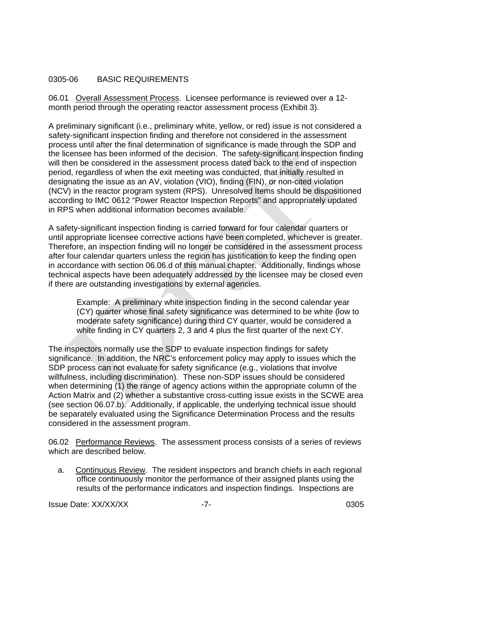#### 0305-06 BASIC REQUIREMENTS

06.01 Overall Assessment Process. Licensee performance is reviewed over a 12 month period through the operating reactor assessment process (Exhibit 3).

A preliminary significant (i.e., preliminary white, yellow, or red) issue is not considered a safety-significant inspection finding and therefore not considered in the assessment process until after the final determination of significance is made through the SDP and the licensee has been informed of the decision. The safety-significant inspection finding will then be considered in the assessment process dated back to the end of inspection period, regardless of when the exit meeting was conducted, that initially resulted in designating the issue as an AV, violation (VIO), finding (FIN), or non-cited violation (NCV) in the reactor program system (RPS). Unresolved Items should be dispositioned according to IMC 0612 "Power Reactor Inspection Reports" and appropriately updated in RPS when additional information becomes available.

A safety-significant inspection finding is carried forward for four calendar quarters or until appropriate licensee corrective actions have been completed, whichever is greater. Therefore, an inspection finding will no longer be considered in the assessment process after four calendar quarters unless the region has justification to keep the finding open in accordance with section 06.06.d of this manual chapter. Additionally, findings whose technical aspects have been adequately addressed by the licensee may be closed even if there are outstanding investigations by external agencies.

Example: A preliminary white inspection finding in the second calendar year (CY) quarter whose final safety significance was determined to be white (low to moderate safety significance) during third CY quarter, would be considered a white finding in CY quarters 2, 3 and 4 plus the first quarter of the next CY.

The inspectors normally use the SDP to evaluate inspection findings for safety significance. In addition, the NRC's enforcement policy may apply to issues which the SDP process can not evaluate for safety significance (e.g., violations that involve willfulness, including discrimination). These non-SDP issues should be considered when determining (1) the range of agency actions within the appropriate column of the Action Matrix and (2) whether a substantive cross-cutting issue exists in the SCWE area (see section 06.07.b). Additionally, if applicable, the underlying technical issue should be separately evaluated using the Significance Determination Process and the results considered in the assessment program.

06.02 Performance Reviews. The assessment process consists of a series of reviews which are described below.

 a. Continuous Review. The resident inspectors and branch chiefs in each regional office continuously monitor the performance of their assigned plants using the results of the performance indicators and inspection findings. Inspections are

Issue Date: XX/XX/XX <sup>-7-</sup> -7- 0305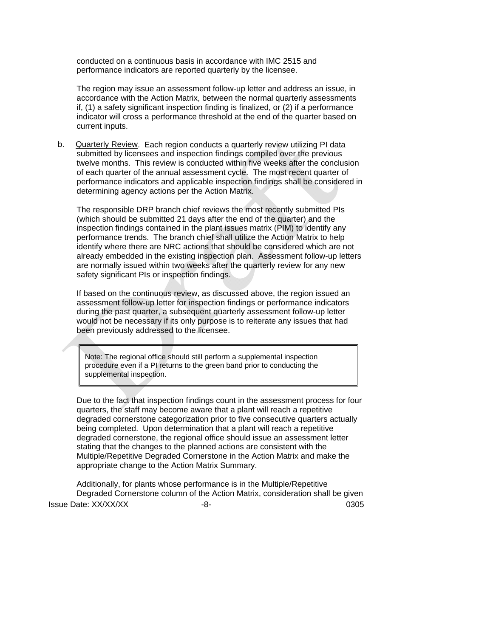conducted on a continuous basis in accordance with IMC 2515 and performance indicators are reported quarterly by the licensee.

The region may issue an assessment follow-up letter and address an issue, in accordance with the Action Matrix, between the normal quarterly assessments if, (1) a safety significant inspection finding is finalized, or (2) if a performance indicator will cross a performance threshold at the end of the quarter based on current inputs.

 b. Quarterly Review. Each region conducts a quarterly review utilizing PI data submitted by licensees and inspection findings compiled over the previous twelve months. This review is conducted within five weeks after the conclusion of each quarter of the annual assessment cycle. The most recent quarter of performance indicators and applicable inspection findings shall be considered in determining agency actions per the Action Matrix.

The responsible DRP branch chief reviews the most recently submitted PIs (which should be submitted 21 days after the end of the quarter) and the inspection findings contained in the plant issues matrix (PIM) to identify any performance trends. The branch chief shall utilize the Action Matrix to help identify where there are NRC actions that should be considered which are not already embedded in the existing inspection plan. Assessment follow-up letters are normally issued within two weeks after the quarterly review for any new safety significant PIs or inspection findings.

If based on the continuous review, as discussed above, the region issued an assessment follow-up letter for inspection findings or performance indicators during the past quarter, a subsequent quarterly assessment follow-up letter would not be necessary if its only purpose is to reiterate any issues that had been previously addressed to the licensee.

Note: The regional office should still perform a supplemental inspection procedure even if a PI returns to the green band prior to conducting the supplemental inspection.

Due to the fact that inspection findings count in the assessment process for four quarters, the staff may become aware that a plant will reach a repetitive degraded cornerstone categorization prior to five consecutive quarters actually being completed. Upon determination that a plant will reach a repetitive degraded cornerstone, the regional office should issue an assessment letter stating that the changes to the planned actions are consistent with the Multiple/Repetitive Degraded Cornerstone in the Action Matrix and make the appropriate change to the Action Matrix Summary.

Issue Date: XX/XX/XX -8- 0305 Additionally, for plants whose performance is in the Multiple/Repetitive Degraded Cornerstone column of the Action Matrix, consideration shall be given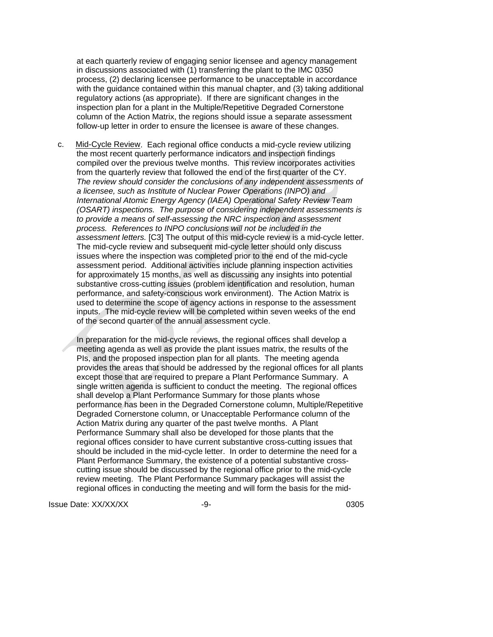at each quarterly review of engaging senior licensee and agency management in discussions associated with (1) transferring the plant to the IMC 0350 process, (2) declaring licensee performance to be unacceptable in accordance with the guidance contained within this manual chapter, and (3) taking additional regulatory actions (as appropriate). If there are significant changes in the inspection plan for a plant in the Multiple/Repetitive Degraded Cornerstone column of the Action Matrix, the regions should issue a separate assessment follow-up letter in order to ensure the licensee is aware of these changes.

 c. Mid-Cycle Review. Each regional office conducts a mid-cycle review utilizing the most recent quarterly performance indicators and inspection findings compiled over the previous twelve months. This review incorporates activities from the quarterly review that followed the end of the first quarter of the CY. *The review should consider the conclusions of any independent assessments of a licensee, such as Institute of Nuclear Power Operations (INPO) and International Atomic Energy Agency (IAEA) Operational Safety Review Team (OSART) inspections. The purpose of considering independent assessments is to provide a means of self-assessing the NRC inspection and assessment process. References to INPO conclusions will not be included in the assessment letters.* [C3] The output of this mid-cycle review is a mid-cycle letter. The mid-cycle review and subsequent mid-cycle letter should only discuss issues where the inspection was completed prior to the end of the mid-cycle assessment period. Additional activities include planning inspection activities for approximately 15 months, as well as discussing any insights into potential substantive cross-cutting issues (problem identification and resolution, human performance, and safety-conscious work environment). The Action Matrix is used to determine the scope of agency actions in response to the assessment inputs. The mid-cycle review will be completed within seven weeks of the end of the second quarter of the annual assessment cycle.

In preparation for the mid-cycle reviews, the regional offices shall develop a meeting agenda as well as provide the plant issues matrix, the results of the PIs, and the proposed inspection plan for all plants. The meeting agenda provides the areas that should be addressed by the regional offices for all plants except those that are required to prepare a Plant Performance Summary. A single written agenda is sufficient to conduct the meeting. The regional offices shall develop a Plant Performance Summary for those plants whose performance has been in the Degraded Cornerstone column, Multiple/Repetitive Degraded Cornerstone column, or Unacceptable Performance column of the Action Matrix during any quarter of the past twelve months. A Plant Performance Summary shall also be developed for those plants that the regional offices consider to have current substantive cross-cutting issues that should be included in the mid-cycle letter. In order to determine the need for a Plant Performance Summary, the existence of a potential substantive crosscutting issue should be discussed by the regional office prior to the mid-cycle review meeting. The Plant Performance Summary packages will assist the regional offices in conducting the meeting and will form the basis for the mid-

Issue Date: XX/XX/XX -9- 0305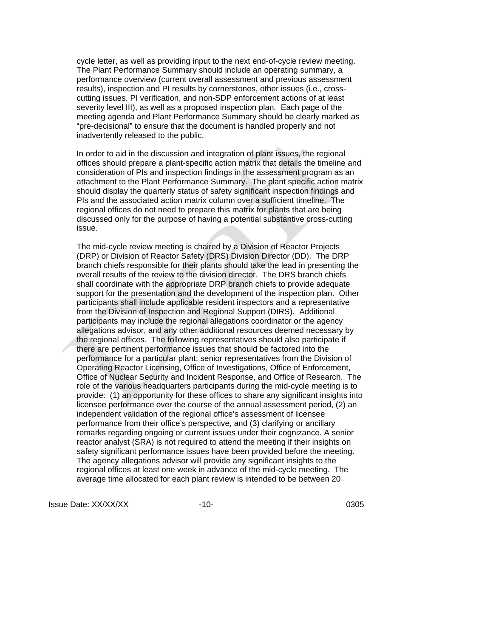cycle letter, as well as providing input to the next end-of-cycle review meeting. The Plant Performance Summary should include an operating summary, a performance overview (current overall assessment and previous assessment results), inspection and PI results by cornerstones, other issues (i.e., crosscutting issues, PI verification, and non-SDP enforcement actions of at least severity level III), as well as a proposed inspection plan. Each page of the meeting agenda and Plant Performance Summary should be clearly marked as "pre-decisional" to ensure that the document is handled properly and not inadvertently released to the public.

In order to aid in the discussion and integration of plant issues, the regional offices should prepare a plant-specific action matrix that details the timeline and consideration of PIs and inspection findings in the assessment program as an attachment to the Plant Performance Summary. The plant specific action matrix should display the quarterly status of safety significant inspection findings and PIs and the associated action matrix column over a sufficient timeline. The regional offices do not need to prepare this matrix for plants that are being discussed only for the purpose of having a potential substantive cross-cutting issue.

The mid-cycle review meeting is chaired by a Division of Reactor Projects (DRP) or Division of Reactor Safety (DRS) Division Director (DD). The DRP branch chiefs responsible for their plants should take the lead in presenting the overall results of the review to the division director. The DRS branch chiefs shall coordinate with the appropriate DRP branch chiefs to provide adequate support for the presentation and the development of the inspection plan. Other participants shall include applicable resident inspectors and a representative from the Division of Inspection and Regional Support (DIRS). Additional participants may include the regional allegations coordinator or the agency allegations advisor, and any other additional resources deemed necessary by the regional offices. The following representatives should also participate if there are pertinent performance issues that should be factored into the performance for a particular plant: senior representatives from the Division of Operating Reactor Licensing, Office of Investigations, Office of Enforcement, Office of Nuclear Security and Incident Response, and Office of Research. The role of the various headquarters participants during the mid-cycle meeting is to provide: (1) an opportunity for these offices to share any significant insights into licensee performance over the course of the annual assessment period, (2) an independent validation of the regional office's assessment of licensee performance from their office's perspective, and (3) clarifying or ancillary remarks regarding ongoing or current issues under their cognizance. A senior reactor analyst (SRA) is not required to attend the meeting if their insights on safety significant performance issues have been provided before the meeting. The agency allegations advisor will provide any significant insights to the regional offices at least one week in advance of the mid-cycle meeting. The average time allocated for each plant review is intended to be between 20

Issue Date: XX/XX/XX -10- 0305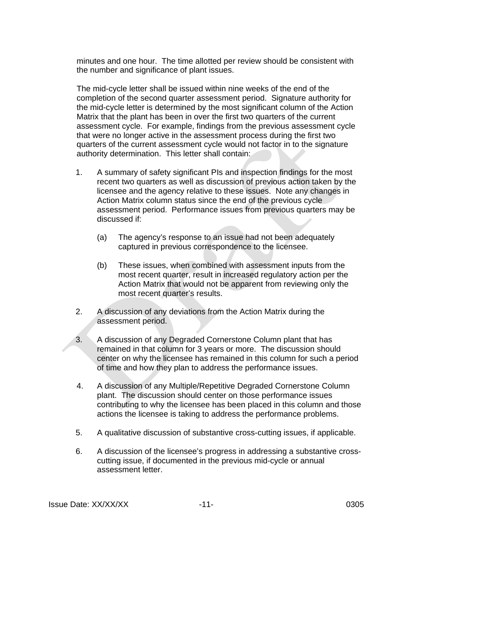minutes and one hour. The time allotted per review should be consistent with the number and significance of plant issues.

The mid-cycle letter shall be issued within nine weeks of the end of the completion of the second quarter assessment period. Signature authority for the mid-cycle letter is determined by the most significant column of the Action Matrix that the plant has been in over the first two quarters of the current assessment cycle. For example, findings from the previous assessment cycle that were no longer active in the assessment process during the first two quarters of the current assessment cycle would not factor in to the signature authority determination. This letter shall contain:

- 1. A summary of safety significant PIs and inspection findings for the most recent two quarters as well as discussion of previous action taken by the licensee and the agency relative to these issues. Note any changes in Action Matrix column status since the end of the previous cycle assessment period. Performance issues from previous quarters may be discussed if:
	- (a) The agency's response to an issue had not been adequately captured in previous correspondence to the licensee.
	- (b) These issues, when combined with assessment inputs from the most recent quarter, result in increased regulatory action per the Action Matrix that would not be apparent from reviewing only the most recent quarter's results.
- 2. A discussion of any deviations from the Action Matrix during the assessment period.
- 3. A discussion of any Degraded Cornerstone Column plant that has remained in that column for 3 years or more. The discussion should center on why the licensee has remained in this column for such a period of time and how they plan to address the performance issues.
- 4. A discussion of any Multiple/Repetitive Degraded Cornerstone Column plant. The discussion should center on those performance issues contributing to why the licensee has been placed in this column and those actions the licensee is taking to address the performance problems.
- 5. A qualitative discussion of substantive cross-cutting issues, if applicable.
- 6. A discussion of the licensee's progress in addressing a substantive crosscutting issue, if documented in the previous mid-cycle or annual assessment letter.

Issue Date: XX/XX/XX <sup>-11-</sup> 11- 11- 11- 0305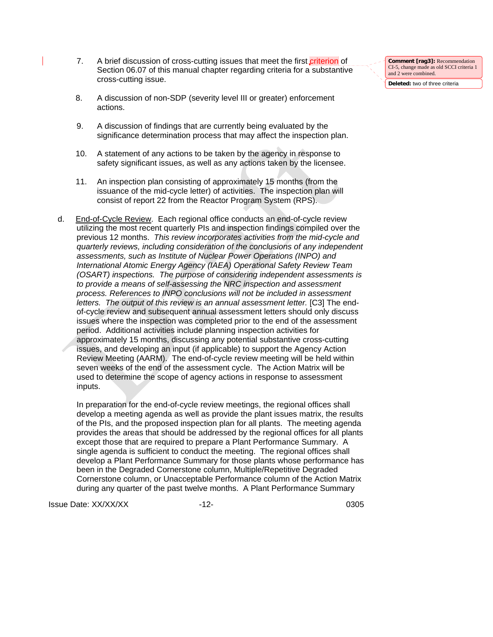- 7. A brief discussion of cross-cutting issues that meet the first criterion of Section 06.07 of this manual chapter regarding criteria for a substantive cross-cutting issue.
- 8. A discussion of non-SDP (severity level III or greater) enforcement actions.
- 9. A discussion of findings that are currently being evaluated by the significance determination process that may affect the inspection plan.
- 10. A statement of any actions to be taken by the agency in response to safety significant issues, as well as any actions taken by the licensee.
- 11. An inspection plan consisting of approximately 15 months (from the issuance of the mid-cycle letter) of activities. The inspection plan will consist of report 22 from the Reactor Program System (RPS).
- d. End-of-Cycle Review. Each regional office conducts an end-of-cycle review utilizing the most recent quarterly PIs and inspection findings compiled over the previous 12 months. *This review incorporates activities from the mid-cycle and quarterly reviews, including consideration of the conclusions of any independent assessments, such as Institute of Nuclear Power Operations (INPO) and International Atomic Energy Agency (IAEA) Operational Safety Review Team (OSART) inspections. The purpose of considering independent assessments is to provide a means of self-assessing the NRC inspection and assessment process. References to INPO conclusions will not be included in assessment letters. The output of this review is an annual assessment letter.* [C3] The endof-cycle review and subsequent annual assessment letters should only discuss issues where the inspection was completed prior to the end of the assessment period. Additional activities include planning inspection activities for approximately 15 months, discussing any potential substantive cross-cutting issues, and developing an input (if applicable) to support the Agency Action Review Meeting (AARM). The end-of-cycle review meeting will be held within seven weeks of the end of the assessment cycle. The Action Matrix will be used to determine the scope of agency actions in response to assessment inputs.

In preparation for the end-of-cycle review meetings, the regional offices shall develop a meeting agenda as well as provide the plant issues matrix, the results of the PIs, and the proposed inspection plan for all plants. The meeting agenda provides the areas that should be addressed by the regional offices for all plants except those that are required to prepare a Plant Performance Summary. A single agenda is sufficient to conduct the meeting. The regional offices shall develop a Plant Performance Summary for those plants whose performance has been in the Degraded Cornerstone column, Multiple/Repetitive Degraded Cornerstone column, or Unacceptable Performance column of the Action Matrix during any quarter of the past twelve months. A Plant Performance Summary

Issue Date: XX/XX/XX -12- 0305

**Comment [rag3]:** Recommendation CI-5, change made as old SCCI criteria 1 and 2 were combined.

**Deleted:** two of three criteria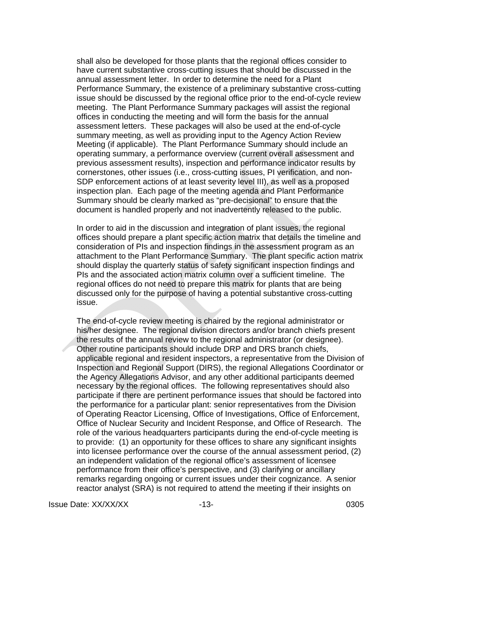shall also be developed for those plants that the regional offices consider to have current substantive cross-cutting issues that should be discussed in the annual assessment letter. In order to determine the need for a Plant Performance Summary, the existence of a preliminary substantive cross-cutting issue should be discussed by the regional office prior to the end-of-cycle review meeting. The Plant Performance Summary packages will assist the regional offices in conducting the meeting and will form the basis for the annual assessment letters. These packages will also be used at the end-of-cycle summary meeting, as well as providing input to the Agency Action Review Meeting (if applicable). The Plant Performance Summary should include an operating summary, a performance overview (current overall assessment and previous assessment results), inspection and performance indicator results by cornerstones, other issues (i.e., cross-cutting issues, PI verification, and non-SDP enforcement actions of at least severity level III), as well as a proposed inspection plan. Each page of the meeting agenda and Plant Performance Summary should be clearly marked as "pre-decisional" to ensure that the document is handled properly and not inadvertently released to the public.

In order to aid in the discussion and integration of plant issues, the regional offices should prepare a plant specific action matrix that details the timeline and consideration of PIs and inspection findings in the assessment program as an attachment to the Plant Performance Summary. The plant specific action matrix should display the quarterly status of safety significant inspection findings and PIs and the associated action matrix column over a sufficient timeline. The regional offices do not need to prepare this matrix for plants that are being discussed only for the purpose of having a potential substantive cross-cutting issue.

The end-of-cycle review meeting is chaired by the regional administrator or his/her designee. The regional division directors and/or branch chiefs present the results of the annual review to the regional administrator (or designee). Other routine participants should include DRP and DRS branch chiefs, applicable regional and resident inspectors, a representative from the Division of Inspection and Regional Support (DIRS), the regional Allegations Coordinator or the Agency Allegations Advisor, and any other additional participants deemed necessary by the regional offices. The following representatives should also participate if there are pertinent performance issues that should be factored into the performance for a particular plant: senior representatives from the Division of Operating Reactor Licensing, Office of Investigations, Office of Enforcement, Office of Nuclear Security and Incident Response, and Office of Research. The role of the various headquarters participants during the end-of-cycle meeting is to provide: (1) an opportunity for these offices to share any significant insights into licensee performance over the course of the annual assessment period, (2) an independent validation of the regional office's assessment of licensee performance from their office's perspective, and (3) clarifying or ancillary remarks regarding ongoing or current issues under their cognizance. A senior reactor analyst (SRA) is not required to attend the meeting if their insights on

Issue Date: XX/XX/XX -13- 0305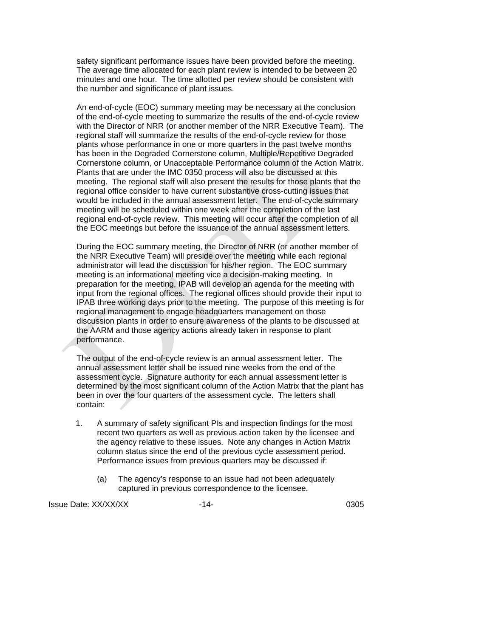safety significant performance issues have been provided before the meeting. The average time allocated for each plant review is intended to be between 20 minutes and one hour. The time allotted per review should be consistent with the number and significance of plant issues.

An end-of-cycle (EOC) summary meeting may be necessary at the conclusion of the end-of-cycle meeting to summarize the results of the end-of-cycle review with the Director of NRR (or another member of the NRR Executive Team). The regional staff will summarize the results of the end-of-cycle review for those plants whose performance in one or more quarters in the past twelve months has been in the Degraded Cornerstone column, Multiple/Repetitive Degraded Cornerstone column, or Unacceptable Performance column of the Action Matrix. Plants that are under the IMC 0350 process will also be discussed at this meeting. The regional staff will also present the results for those plants that the regional office consider to have current substantive cross-cutting issues that would be included in the annual assessment letter. The end-of-cycle summary meeting will be scheduled within one week after the completion of the last regional end-of-cycle review. This meeting will occur after the completion of all the EOC meetings but before the issuance of the annual assessment letters.

During the EOC summary meeting, the Director of NRR (or another member of the NRR Executive Team) will preside over the meeting while each regional administrator will lead the discussion for his/her region. The EOC summary meeting is an informational meeting vice a decision-making meeting. In preparation for the meeting, IPAB will develop an agenda for the meeting with input from the regional offices. The regional offices should provide their input to IPAB three working days prior to the meeting. The purpose of this meeting is for regional management to engage headquarters management on those discussion plants in order to ensure awareness of the plants to be discussed at the AARM and those agency actions already taken in response to plant performance.

The output of the end-of-cycle review is an annual assessment letter. The annual assessment letter shall be issued nine weeks from the end of the assessment cycle. Signature authority for each annual assessment letter is determined by the most significant column of the Action Matrix that the plant has been in over the four quarters of the assessment cycle. The letters shall contain:

- 1. A summary of safety significant PIs and inspection findings for the most recent two quarters as well as previous action taken by the licensee and the agency relative to these issues. Note any changes in Action Matrix column status since the end of the previous cycle assessment period. Performance issues from previous quarters may be discussed if:
	- (a) The agency's response to an issue had not been adequately captured in previous correspondence to the licensee.

Issue Date: XX/XX/XX -14- 0305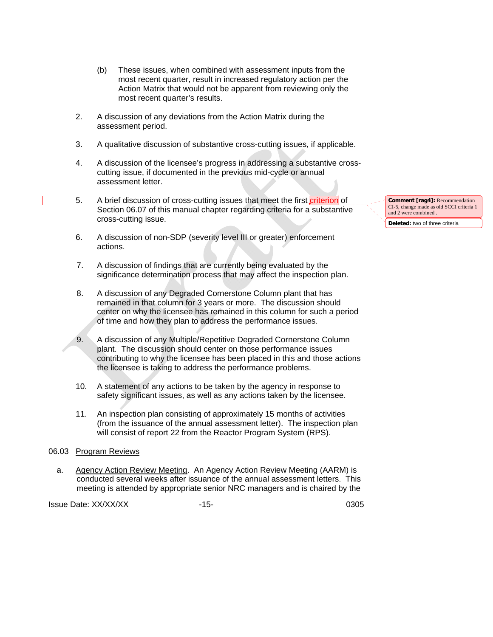- (b) These issues, when combined with assessment inputs from the most recent quarter, result in increased regulatory action per the Action Matrix that would not be apparent from reviewing only the most recent quarter's results.
- 2. A discussion of any deviations from the Action Matrix during the assessment period.
- 3. A qualitative discussion of substantive cross-cutting issues, if applicable.
- 4. A discussion of the licensee's progress in addressing a substantive crosscutting issue, if documented in the previous mid-cycle or annual assessment letter.
- 5. A brief discussion of cross-cutting issues that meet the first criterion of Section 06.07 of this manual chapter regarding criteria for a substantive cross-cutting issue.
- 6. A discussion of non-SDP (severity level III or greater) enforcement actions.
- 7. A discussion of findings that are currently being evaluated by the significance determination process that may affect the inspection plan.
- 8. A discussion of any Degraded Cornerstone Column plant that has remained in that column for 3 years or more. The discussion should center on why the licensee has remained in this column for such a period of time and how they plan to address the performance issues.
- 9. A discussion of any Multiple/Repetitive Degraded Cornerstone Column plant. The discussion should center on those performance issues contributing to why the licensee has been placed in this and those actions the licensee is taking to address the performance problems.
- 10. A statement of any actions to be taken by the agency in response to safety significant issues, as well as any actions taken by the licensee.
- 11. An inspection plan consisting of approximately 15 months of activities (from the issuance of the annual assessment letter). The inspection plan will consist of report 22 from the Reactor Program System (RPS).

#### 06.03 Program Reviews

a. Agency Action Review Meeting. An Agency Action Review Meeting (AARM) is conducted several weeks after issuance of the annual assessment letters. This meeting is attended by appropriate senior NRC managers and is chaired by the

Issue Date: XX/XX/XX -15- 0305

**Comment [rag4]:** Recommendation CI-5, change made as old SCCI criteria 1 and 2 were combined . **Deleted:** two of three criteria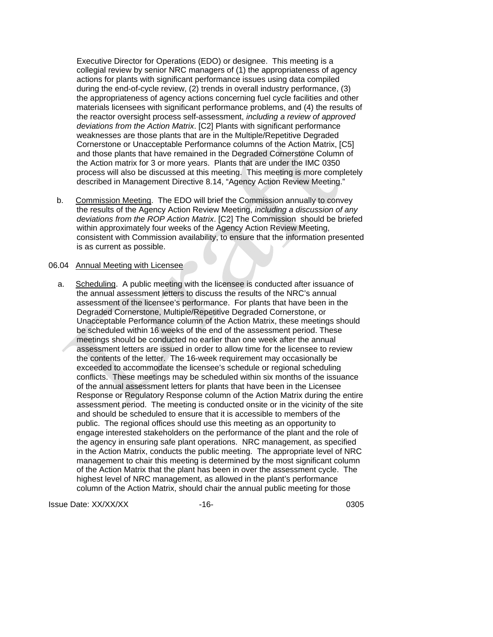Executive Director for Operations (EDO) or designee. This meeting is a collegial review by senior NRC managers of (1) the appropriateness of agency actions for plants with significant performance issues using data compiled during the end-of-cycle review, (2) trends in overall industry performance, (3) the appropriateness of agency actions concerning fuel cycle facilities and other materials licensees with significant performance problems, and (4) the results of the reactor oversight process self-assessment, *including a review of approved deviations from the Action Matrix*. [C2] Plants with significant performance weaknesses are those plants that are in the Multiple/Repetitive Degraded Cornerstone or Unacceptable Performance columns of the Action Matrix, [C5] and those plants that have remained in the Degraded Cornerstone Column of the Action matrix for 3 or more years. Plants that are under the IMC 0350 process will also be discussed at this meeting. This meeting is more completely described in Management Directive 8.14, "Agency Action Review Meeting."

b. Commission Meeting. The EDO will brief the Commission annually to convey the results of the Agency Action Review Meeting, *including a discussion of any deviations from the ROP Action Matrix*. [C2] The Commission should be briefed within approximately four weeks of the Agency Action Review Meeting, consistent with Commission availability, to ensure that the information presented is as current as possible.

#### 06.04 Annual Meeting with Licensee

 a. Scheduling. A public meeting with the licensee is conducted after issuance of the annual assessment letters to discuss the results of the NRC's annual assessment of the licensee's performance. For plants that have been in the Degraded Cornerstone, Multiple/Repetitive Degraded Cornerstone, or Unacceptable Performance column of the Action Matrix, these meetings should be scheduled within 16 weeks of the end of the assessment period. These meetings should be conducted no earlier than one week after the annual assessment letters are issued in order to allow time for the licensee to review the contents of the letter. The 16-week requirement may occasionally be exceeded to accommodate the licensee's schedule or regional scheduling conflicts. These meetings may be scheduled within six months of the issuance of the annual assessment letters for plants that have been in the Licensee Response or Regulatory Response column of the Action Matrix during the entire assessment period. The meeting is conducted onsite or in the vicinity of the site and should be scheduled to ensure that it is accessible to members of the public. The regional offices should use this meeting as an opportunity to engage interested stakeholders on the performance of the plant and the role of the agency in ensuring safe plant operations. NRC management, as specified in the Action Matrix, conducts the public meeting. The appropriate level of NRC management to chair this meeting is determined by the most significant column of the Action Matrix that the plant has been in over the assessment cycle. The highest level of NRC management, as allowed in the plant's performance column of the Action Matrix, should chair the annual public meeting for those

Issue Date: XX/XX/XX -16- 0305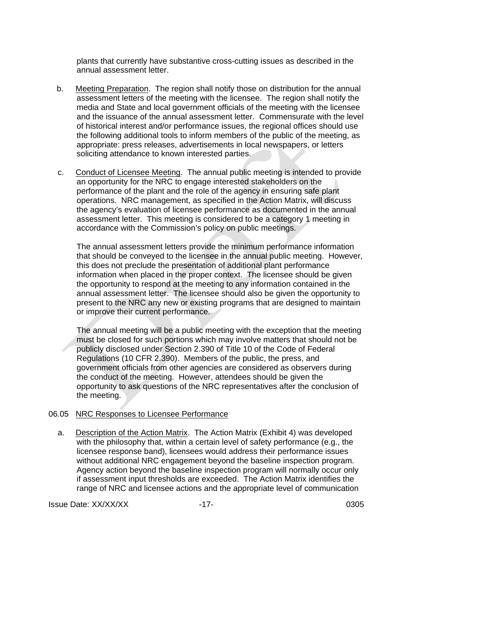plants that currently have substantive cross-cutting issues as described in the annual assessment letter.

- b. Meeting Preparation. The region shall notify those on distribution for the annual assessment letters of the meeting with the licensee. The region shall notify the media and State and local government officials of the meeting with the licensee and the issuance of the annual assessment letter. Commensurate with the level of historical interest and/or performance issues, the regional offices should use the following additional tools to inform members of the public of the meeting, as appropriate: press releases, advertisements in local newspapers, or letters soliciting attendance to known interested parties.
- c. Conduct of Licensee Meeting. The annual public meeting is intended to provide an opportunity for the NRC to engage interested stakeholders on the performance of the plant and the role of the agency in ensuring safe plant operations. NRC management, as specified in the Action Matrix, will discuss the agency's evaluation of licensee performance as documented in the annual assessment letter. This meeting is considered to be a category 1 meeting in accordance with the Commission's policy on public meetings.

The annual assessment letters provide the minimum performance information that should be conveyed to the licensee in the annual public meeting. However, this does not preclude the presentation of additional plant performance information when placed in the proper context. The licensee should be given the opportunity to respond at the meeting to any information contained in the annual assessment letter. The licensee should also be given the opportunity to present to the NRC any new or existing programs that are designed to maintain or improve their current performance.

The annual meeting will be a public meeting with the exception that the meeting must be closed for such portions which may involve matters that should not be publicly disclosed under Section 2.390 of Title 10 of the Code of Federal Regulations (10 CFR 2.390). Members of the public, the press, and government officials from other agencies are considered as observers during the conduct of the meeting. However, attendees should be given the opportunity to ask questions of the NRC representatives after the conclusion of the meeting.

#### 06.05 NRC Responses to Licensee Performance

 a. Description of the Action Matrix. The Action Matrix (Exhibit 4) was developed with the philosophy that, within a certain level of safety performance (e.g., the licensee response band), licensees would address their performance issues without additional NRC engagement beyond the baseline inspection program. Agency action beyond the baseline inspection program will normally occur only if assessment input thresholds are exceeded. The Action Matrix identifies the range of NRC and licensee actions and the appropriate level of communication

Issue Date: XX/XX/XX -17- 0305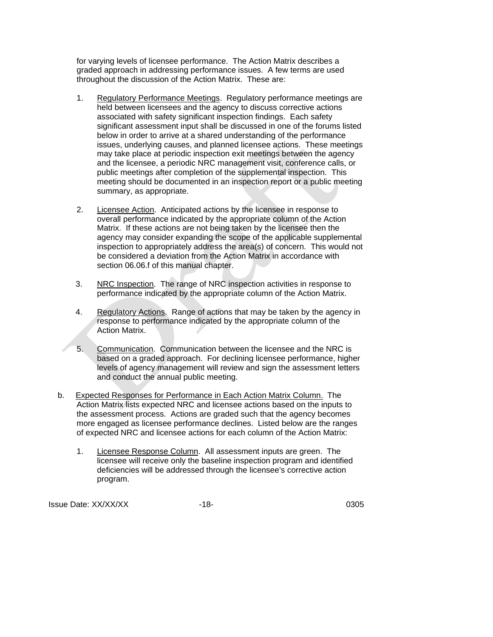for varying levels of licensee performance. The Action Matrix describes a graded approach in addressing performance issues. A few terms are used throughout the discussion of the Action Matrix. These are:

- 1. Regulatory Performance Meetings. Regulatory performance meetings are held between licensees and the agency to discuss corrective actions associated with safety significant inspection findings. Each safety significant assessment input shall be discussed in one of the forums listed below in order to arrive at a shared understanding of the performance issues, underlying causes, and planned licensee actions. These meetings may take place at periodic inspection exit meetings between the agency and the licensee, a periodic NRC management visit, conference calls, or public meetings after completion of the supplemental inspection. This meeting should be documented in an inspection report or a public meeting summary, as appropriate.
- 2. Licensee Action. Anticipated actions by the licensee in response to overall performance indicated by the appropriate column of the Action Matrix. If these actions are not being taken by the licensee then the agency may consider expanding the scope of the applicable supplemental inspection to appropriately address the area(s) of concern. This would not be considered a deviation from the Action Matrix in accordance with section 06.06.f of this manual chapter.
- 3. NRC Inspection. The range of NRC inspection activities in response to performance indicated by the appropriate column of the Action Matrix.
- 4. Regulatory Actions. Range of actions that may be taken by the agency in response to performance indicated by the appropriate column of the Action Matrix.
- 5. Communication. Communication between the licensee and the NRC is based on a graded approach. For declining licensee performance, higher levels of agency management will review and sign the assessment letters and conduct the annual public meeting.
- b. Expected Responses for Performance in Each Action Matrix Column. The Action Matrix lists expected NRC and licensee actions based on the inputs to the assessment process. Actions are graded such that the agency becomes more engaged as licensee performance declines. Listed below are the ranges of expected NRC and licensee actions for each column of the Action Matrix:
	- 1. Licensee Response Column. All assessment inputs are green. The licensee will receive only the baseline inspection program and identified deficiencies will be addressed through the licensee's corrective action program.

Issue Date: XX/XX/XX <sup>-18-</sup> -18- 0305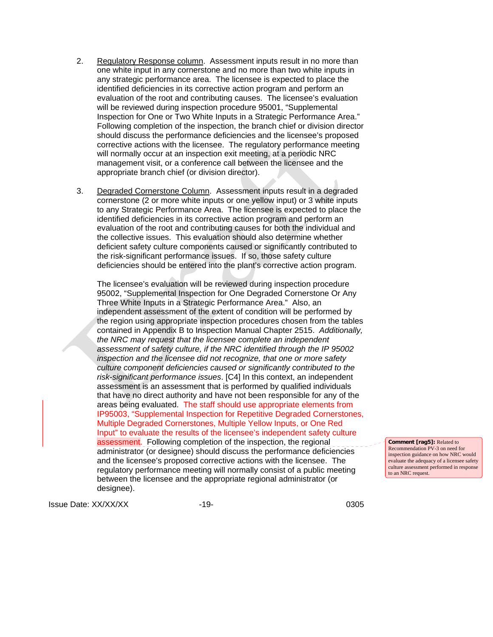- 2. Regulatory Response column. Assessment inputs result in no more than one white input in any cornerstone and no more than two white inputs in any strategic performance area. The licensee is expected to place the identified deficiencies in its corrective action program and perform an evaluation of the root and contributing causes. The licensee's evaluation will be reviewed during inspection procedure 95001, "Supplemental Inspection for One or Two White Inputs in a Strategic Performance Area." Following completion of the inspection, the branch chief or division director should discuss the performance deficiencies and the licensee's proposed corrective actions with the licensee. The regulatory performance meeting will normally occur at an inspection exit meeting, at a periodic NRC management visit, or a conference call between the licensee and the appropriate branch chief (or division director).
- 3. Degraded Cornerstone Column. Assessment inputs result in a degraded cornerstone (2 or more white inputs or one yellow input) or 3 white inputs to any Strategic Performance Area. The licensee is expected to place the identified deficiencies in its corrective action program and perform an evaluation of the root and contributing causes for both the individual and the collective issues. This evaluation should also determine whether deficient safety culture components caused or significantly contributed to the risk-significant performance issues. If so, those safety culture deficiencies should be entered into the plant's corrective action program.

The licensee's evaluation will be reviewed during inspection procedure 95002, "Supplemental Inspection for One Degraded Cornerstone Or Any Three White Inputs in a Strategic Performance Area." Also, an independent assessment of the extent of condition will be performed by the region using appropriate inspection procedures chosen from the tables contained in Appendix B to Inspection Manual Chapter 2515. *Additionally, the NRC may request that the licensee complete an independent assessment of safety culture, if the NRC identified through the IP 95002 inspection and the licensee did not recognize, that one or more safety culture component deficiencies caused or significantly contributed to the risk-significant performance issues*. [C4] In this context, an independent assessment is an assessment that is performed by qualified individuals that have no direct authority and have not been responsible for any of the areas being evaluated. The staff should use appropriate elements from IP95003, "Supplemental Inspection for Repetitive Degraded Cornerstones, Multiple Degraded Cornerstones, Multiple Yellow Inputs, or One Red Input" to evaluate the results of the licensee's independent safety culture assessment. Following completion of the inspection, the regional administrator (or designee) should discuss the performance deficiencies and the licensee's proposed corrective actions with the licensee. The regulatory performance meeting will normally consist of a public meeting between the licensee and the appropriate regional administrator (or designee).

**Comment [rag5]:** Related to Recommendation PV-3 on need for inspection guidance on how NRC would evaluate the adequacy of a licensee safety culture assessment performed in response to an NRC request.

Issue Date: XX/XX/XX -19- 0305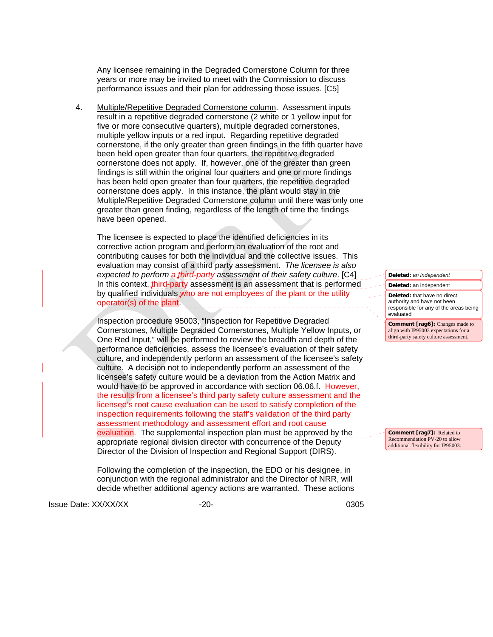Any licensee remaining in the Degraded Cornerstone Column for three years or more may be invited to meet with the Commission to discuss performance issues and their plan for addressing those issues. [C5]

 4. Multiple/Repetitive Degraded Cornerstone column. Assessment inputs result in a repetitive degraded cornerstone (2 white or 1 yellow input for five or more consecutive quarters), multiple degraded cornerstones, multiple yellow inputs or a red input. Regarding repetitive degraded cornerstone, if the only greater than green findings in the fifth quarter have been held open greater than four quarters, the repetitive degraded cornerstone does not apply. If, however, one of the greater than green findings is still within the original four quarters and one or more findings has been held open greater than four quarters, the repetitive degraded cornerstone does apply. In this instance, the plant would stay in the Multiple/Repetitive Degraded Cornerstone column until there was only one greater than green finding, regardless of the length of time the findings have been opened.

The licensee is expected to place the identified deficiencies in its corrective action program and perform an evaluation of the root and contributing causes for both the individual and the collective issues. This evaluation may consist of a third party assessment. *The licensee is also expected to perform a third-party assessment of their safety culture*. [C4] In this context, third-party assessment is an assessment that is performed by qualified individuals who are not employees of the plant or the utility operator(s) of the plant.

Inspection procedure 95003, "Inspection for Repetitive Degraded Cornerstones, Multiple Degraded Cornerstones, Multiple Yellow Inputs, or One Red Input," will be performed to review the breadth and depth of the performance deficiencies, assess the licensee's evaluation of their safety culture, and independently perform an assessment of the licensee's safety culture. A decision not to independently perform an assessment of the licensee's safety culture would be a deviation from the Action Matrix and would have to be approved in accordance with section 06.06.f. However, the results from a licensee's third party safety culture assessment and the licensee's root cause evaluation can be used to satisfy completion of the inspection requirements following the staff's validation of the third party assessment methodology and assessment effort and root cause evaluation. The supplemental inspection plan must be approved by the appropriate regional division director with concurrence of the Deputy Director of the Division of Inspection and Regional Support (DIRS).

 Following the completion of the inspection, the EDO or his designee, in conjunction with the regional administrator and the Director of NRR, will decide whether additional agency actions are warranted. These actions **Deleted:** *an independent*

**Deleted:** an independent

**Deleted:** that have no direct authority and have not been responsible for any of the areas being evaluated

**Comment [rag6]:** Changes made to align with IP95003 expectations for a third-party safety culture assessment.

**Comment [rag7]:** Related to Recommendation PV-20 to allow additional flexibility for IP95003.

Issue Date: XX/XX/XX -20- 0305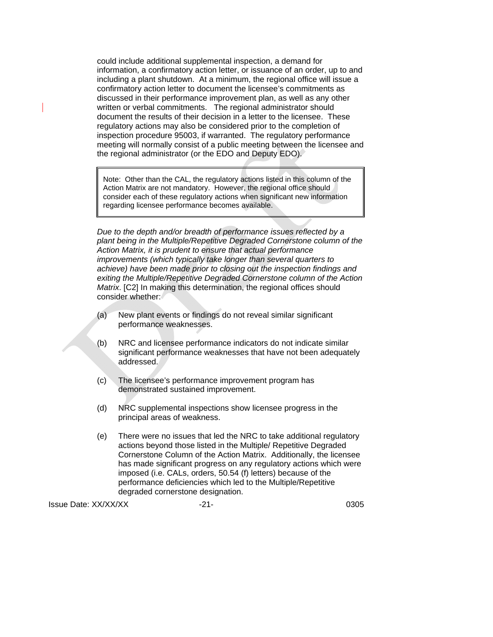could include additional supplemental inspection, a demand for information, a confirmatory action letter, or issuance of an order, up to and including a plant shutdown. At a minimum, the regional office will issue a confirmatory action letter to document the licensee's commitments as discussed in their performance improvement plan, as well as any other written or verbal commitments. The regional administrator should document the results of their decision in a letter to the licensee. These regulatory actions may also be considered prior to the completion of inspection procedure 95003, if warranted. The regulatory performance meeting will normally consist of a public meeting between the licensee and the regional administrator (or the EDO and Deputy EDO).

Note: Other than the CAL, the regulatory actions listed in this column of the Action Matrix are not mandatory. However, the regional office should consider each of these regulatory actions when significant new information regarding licensee performance becomes available.

*Due to the depth and/or breadth of performance issues reflected by a plant being in the Multiple/Repetitive Degraded Cornerstone column of the Action Matrix, it is prudent to ensure that actual performance improvements (which typically take longer than several quarters to achieve) have been made prior to closing out the inspection findings and exiting the Multiple/Repetitive Degraded Cornerstone column of the Action Matrix*. [C2] In making this determination, the regional offices should consider whether:

- (a) New plant events or findings do not reveal similar significant performance weaknesses.
- (b) NRC and licensee performance indicators do not indicate similar significant performance weaknesses that have not been adequately addressed.
- (c) The licensee's performance improvement program has demonstrated sustained improvement.
- (d) NRC supplemental inspections show licensee progress in the principal areas of weakness.
- (e) There were no issues that led the NRC to take additional regulatory actions beyond those listed in the Multiple/ Repetitive Degraded Cornerstone Column of the Action Matrix. Additionally, the licensee has made significant progress on any regulatory actions which were imposed (i.e. CALs, orders, 50.54 (f) letters) because of the performance deficiencies which led to the Multiple/Repetitive degraded cornerstone designation.

Issue Date: XX/XX/XX -21- 0305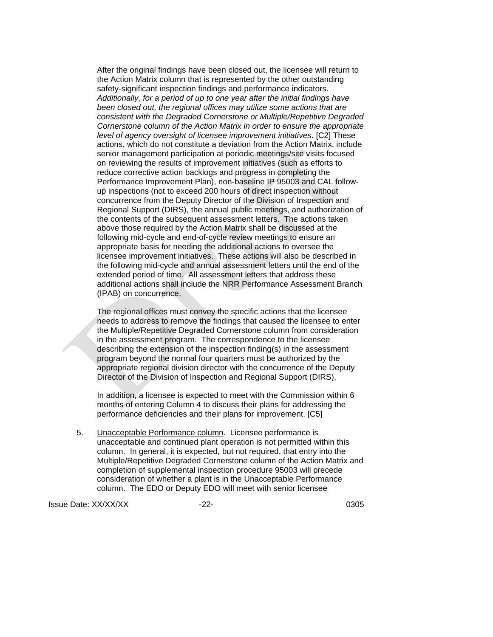After the original findings have been closed out, the licensee will return to the Action Matrix column that is represented by the other outstanding safety-significant inspection findings and performance indicators. *Additionally, for a period of up to one year after the initial findings have been closed out, the regional offices may utilize some actions that are consistent with the Degraded Cornerstone or Multiple/Repetitive Degraded Cornerstone column of the Action Matrix in order to ensure the appropriate level of agency oversight of licensee improvement initiatives*. [C2] These actions, which do not constitute a deviation from the Action Matrix, include senior management participation at periodic meetings/site visits focused on reviewing the results of improvement initiatives (such as efforts to reduce corrective action backlogs and progress in completing the Performance Improvement Plan), non-baseline IP 95003 and CAL followup inspections (not to exceed 200 hours of direct inspection without concurrence from the Deputy Director of the Division of Inspection and Regional Support (DIRS), the annual public meetings, and authorization of the contents of the subsequent assessment letters. The actions taken above those required by the Action Matrix shall be discussed at the following mid-cycle and end-of-cycle review meetings to ensure an appropriate basis for needing the additional actions to oversee the licensee improvement initiatives. These actions will also be described in the following mid-cycle and annual assessment letters until the end of the extended period of time. All assessment letters that address these additional actions shall include the NRR Performance Assessment Branch (IPAB) on concurrence.

 The regional offices must convey the specific actions that the licensee needs to address to remove the findings that caused the licensee to enter the Multiple/Repetitive Degraded Cornerstone column from consideration in the assessment program. The correspondence to the licensee describing the extension of the inspection finding(s) in the assessment program beyond the normal four quarters must be authorized by the appropriate regional division director with the concurrence of the Deputy Director of the Division of Inspection and Regional Support (DIRS).

In addition, a licensee is expected to meet with the Commission within 6 months of entering Column 4 to discuss their plans for addressing the performance deficiencies and their plans for improvement. [C5]

5. Unacceptable Performance column. Licensee performance is unacceptable and continued plant operation is not permitted within this column. In general, it is expected, but not required, that entry into the Multiple/Repetitive Degraded Cornerstone column of the Action Matrix and completion of supplemental inspection procedure 95003 will precede consideration of whether a plant is in the Unacceptable Performance column. The EDO or Deputy EDO will meet with senior licensee

Issue Date: XX/XX/XX -22- 0305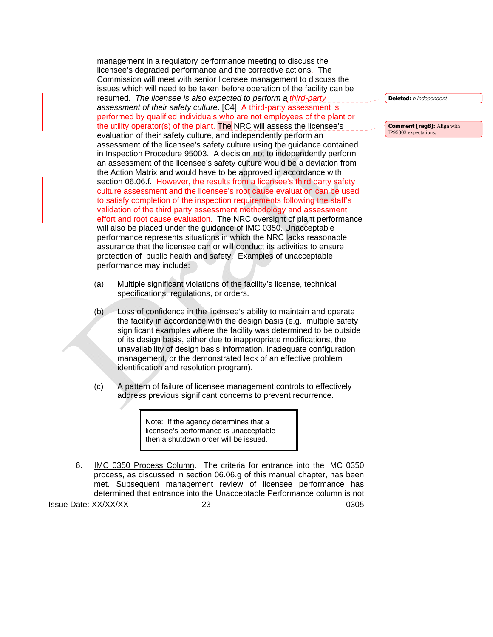management in a regulatory performance meeting to discuss the licensee's degraded performance and the corrective actions. The Commission will meet with senior licensee management to discuss the issues which will need to be taken before operation of the facility can be resumed. *The licensee is also expected to perform a third-party assessment of their safety culture*. [C4] A third-party assessment is performed by qualified individuals who are not employees of the plant or the utility operator(s) of the plant. The NRC will assess the licensee's evaluation of their safety culture, and independently perform an assessment of the licensee's safety culture using the guidance contained in Inspection Procedure 95003. A decision not to independently perform an assessment of the licensee's safety culture would be a deviation from the Action Matrix and would have to be approved in accordance with section 06.06.f. However, the results from a licensee's third party safety culture assessment and the licensee's root cause evaluation can be used to satisfy completion of the inspection requirements following the staff's validation of the third party assessment methodology and assessment effort and root cause evaluation. The NRC oversight of plant performance will also be placed under the guidance of IMC 0350. Unacceptable performance represents situations in which the NRC lacks reasonable assurance that the licensee can or will conduct its activities to ensure protection of public health and safety. Examples of unacceptable performance may include:

- (a) Multiple significant violations of the facility's license, technical specifications, regulations, or orders.
- (b) Loss of confidence in the licensee's ability to maintain and operate the facility in accordance with the design basis (e.g., multiple safety significant examples where the facility was determined to be outside of its design basis, either due to inappropriate modifications, the unavailability of design basis information, inadequate configuration management, or the demonstrated lack of an effective problem identification and resolution program).
- (c) A pattern of failure of licensee management controls to effectively address previous significant concerns to prevent recurrence.

Note: If the agency determines that a licensee's performance is unacceptable then a shutdown order will be issued.

Issue Date: XX/XX/XX -23- 0305 6. IMC 0350 Process Column. The criteria for entrance into the IMC 0350 process, as discussed in section 06.06.g of this manual chapter, has been met. Subsequent management review of licensee performance has determined that entrance into the Unacceptable Performance column is not

**Deleted:** *n independent*

**Comment [rag8]:** Align with IP95003 expectations.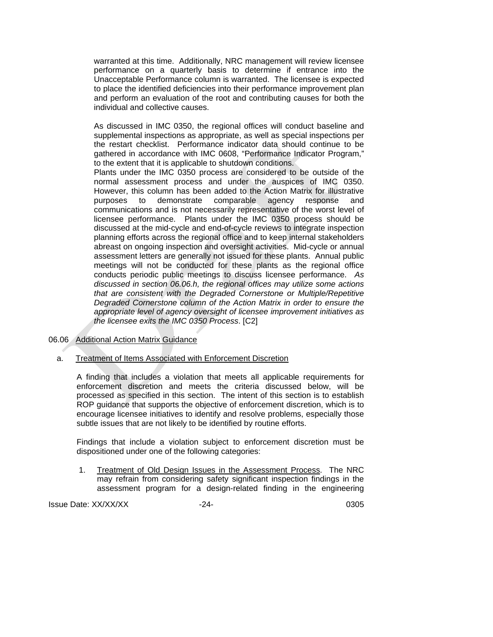warranted at this time. Additionally, NRC management will review licensee performance on a quarterly basis to determine if entrance into the Unacceptable Performance column is warranted. The licensee is expected to place the identified deficiencies into their performance improvement plan and perform an evaluation of the root and contributing causes for both the individual and collective causes.

As discussed in IMC 0350, the regional offices will conduct baseline and supplemental inspections as appropriate, as well as special inspections per the restart checklist. Performance indicator data should continue to be gathered in accordance with IMC 0608, "Performance Indicator Program," to the extent that it is applicable to shutdown conditions.

Plants under the IMC 0350 process are considered to be outside of the normal assessment process and under the auspices of IMC 0350. However, this column has been added to the Action Matrix for illustrative purposes to demonstrate comparable agency response and communications and is not necessarily representative of the worst level of licensee performance. Plants under the IMC 0350 process should be discussed at the mid-cycle and end-of-cycle reviews to integrate inspection planning efforts across the regional office and to keep internal stakeholders abreast on ongoing inspection and oversight activities. Mid-cycle or annual assessment letters are generally not issued for these plants. Annual public meetings will not be conducted for these plants as the regional office conducts periodic public meetings to discuss licensee performance. *As discussed in section 06.06.h, the regional offices may utilize some actions that are consistent with the Degraded Cornerstone or Multiple/Repetitive Degraded Cornerstone column of the Action Matrix in order to ensure the appropriate level of agency oversight of licensee improvement initiatives as the licensee exits the IMC 0350 Process*. [C2]

#### 06.06 Additional Action Matrix Guidance

#### a. Treatment of Items Associated with Enforcement Discretion

A finding that includes a violation that meets all applicable requirements for enforcement discretion and meets the criteria discussed below, will be processed as specified in this section. The intent of this section is to establish ROP guidance that supports the objective of enforcement discretion, which is to encourage licensee initiatives to identify and resolve problems, especially those subtle issues that are not likely to be identified by routine efforts.

Findings that include a violation subject to enforcement discretion must be dispositioned under one of the following categories:

1. Treatment of Old Design Issues in the Assessment Process. The NRC may refrain from considering safety significant inspection findings in the assessment program for a design-related finding in the engineering

Issue Date: XX/XX/XX -24- 0305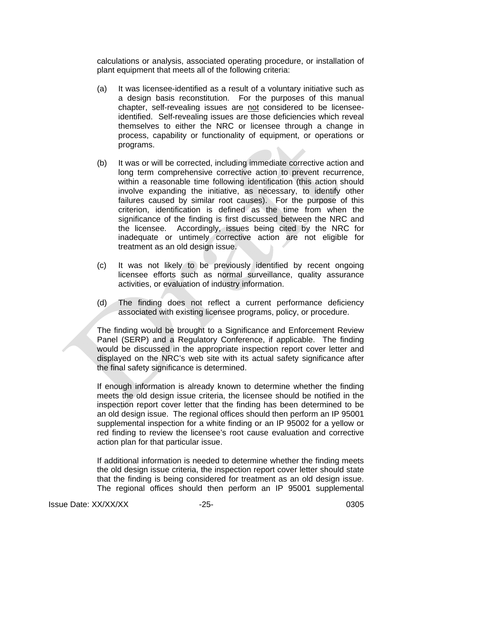calculations or analysis, associated operating procedure, or installation of plant equipment that meets all of the following criteria:

- (a) It was licensee-identified as a result of a voluntary initiative such as a design basis reconstitution. For the purposes of this manual chapter, self-revealing issues are not considered to be licenseeidentified. Self-revealing issues are those deficiencies which reveal themselves to either the NRC or licensee through a change in process, capability or functionality of equipment, or operations or programs.
- (b) It was or will be corrected, including immediate corrective action and long term comprehensive corrective action to prevent recurrence, within a reasonable time following identification (this action should involve expanding the initiative, as necessary, to identify other failures caused by similar root causes). For the purpose of this criterion, identification is defined as the time from when the significance of the finding is first discussed between the NRC and the licensee. Accordingly, issues being cited by the NRC for inadequate or untimely corrective action are not eligible for treatment as an old design issue.
- (c) It was not likely to be previously identified by recent ongoing licensee efforts such as normal surveillance, quality assurance activities, or evaluation of industry information.
- (d) The finding does not reflect a current performance deficiency associated with existing licensee programs, policy, or procedure.

The finding would be brought to a Significance and Enforcement Review Panel (SERP) and a Regulatory Conference, if applicable. The finding would be discussed in the appropriate inspection report cover letter and displayed on the NRC's web site with its actual safety significance after the final safety significance is determined.

If enough information is already known to determine whether the finding meets the old design issue criteria, the licensee should be notified in the inspection report cover letter that the finding has been determined to be an old design issue. The regional offices should then perform an IP 95001 supplemental inspection for a white finding or an IP 95002 for a yellow or red finding to review the licensee's root cause evaluation and corrective action plan for that particular issue.

If additional information is needed to determine whether the finding meets the old design issue criteria, the inspection report cover letter should state that the finding is being considered for treatment as an old design issue. The regional offices should then perform an IP 95001 supplemental

Issue Date: XX/XX/XX -25- 0305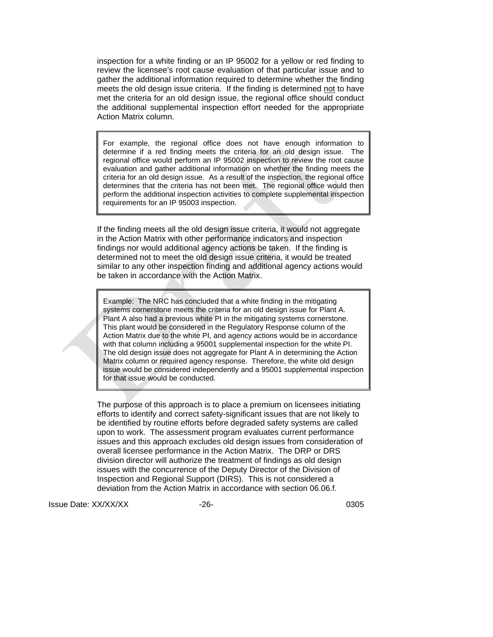inspection for a white finding or an IP 95002 for a yellow or red finding to review the licensee's root cause evaluation of that particular issue and to gather the additional information required to determine whether the finding meets the old design issue criteria. If the finding is determined not to have met the criteria for an old design issue, the regional office should conduct the additional supplemental inspection effort needed for the appropriate Action Matrix column.

For example, the regional office does not have enough information to determine if a red finding meets the criteria for an old design issue. The regional office would perform an IP 95002 inspection to review the root cause evaluation and gather additional information on whether the finding meets the criteria for an old design issue. As a result of the inspection, the regional office determines that the criteria has not been met. The regional office would then perform the additional inspection activities to complete supplemental inspection requirements for an IP 95003 inspection.

If the finding meets all the old design issue criteria, it would not aggregate in the Action Matrix with other performance indicators and inspection findings nor would additional agency actions be taken. If the finding is determined not to meet the old design issue criteria, it would be treated similar to any other inspection finding and additional agency actions would be taken in accordance with the Action Matrix.

Example: The NRC has concluded that a white finding in the mitigating systems cornerstone meets the criteria for an old design issue for Plant A. Plant A also had a previous white PI in the mitigating systems cornerstone. This plant would be considered in the Regulatory Response column of the Action Matrix due to the white PI, and agency actions would be in accordance with that column including a 95001 supplemental inspection for the white PI. The old design issue does not aggregate for Plant A in determining the Action Matrix column or required agency response. Therefore, the white old design issue would be considered independently and a 95001 supplemental inspection for that issue would be conducted.

 The purpose of this approach is to place a premium on licensees initiating efforts to identify and correct safety-significant issues that are not likely to be identified by routine efforts before degraded safety systems are called upon to work. The assessment program evaluates current performance issues and this approach excludes old design issues from consideration of overall licensee performance in the Action Matrix. The DRP or DRS division director will authorize the treatment of findings as old design issues with the concurrence of the Deputy Director of the Division of Inspection and Regional Support (DIRS). This is not considered a deviation from the Action Matrix in accordance with section 06.06.f.

Issue Date: XX/XX/XX -26- 0305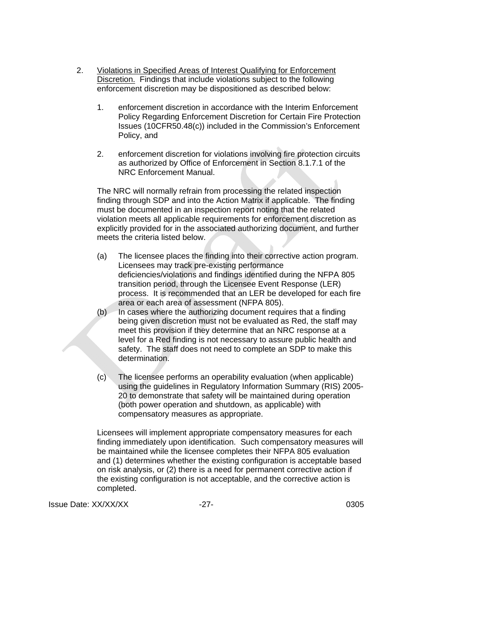- 2. Violations in Specified Areas of Interest Qualifying for Enforcement Discretion. Findings that include violations subject to the following enforcement discretion may be dispositioned as described below:
	- 1. enforcement discretion in accordance with the Interim Enforcement Policy Regarding Enforcement Discretion for Certain Fire Protection Issues (10CFR50.48(c)) included in the Commission's Enforcement Policy, and
	- 2. enforcement discretion for violations involving fire protection circuits as authorized by Office of Enforcement in Section 8.1.7.1 of the NRC Enforcement Manual.

The NRC will normally refrain from processing the related inspection finding through SDP and into the Action Matrix if applicable. The finding must be documented in an inspection report noting that the related violation meets all applicable requirements for enforcement discretion as explicitly provided for in the associated authorizing document, and further meets the criteria listed below.

- (a) The licensee places the finding into their corrective action program. Licensees may track pre-existing performance deficiencies/violations and findings identified during the NFPA 805 transition period, through the Licensee Event Response (LER) process. It is recommended that an LER be developed for each fire area or each area of assessment (NFPA 805).
- $(b)$  In cases where the authorizing document requires that a finding being given discretion must not be evaluated as Red, the staff may meet this provision if they determine that an NRC response at a level for a Red finding is not necessary to assure public health and safety. The staff does not need to complete an SDP to make this determination.
- (c) The licensee performs an operability evaluation (when applicable) using the guidelines in Regulatory Information Summary (RIS) 2005- 20 to demonstrate that safety will be maintained during operation (both power operation and shutdown, as applicable) with compensatory measures as appropriate.

Licensees will implement appropriate compensatory measures for each finding immediately upon identification. Such compensatory measures will be maintained while the licensee completes their NFPA 805 evaluation and (1) determines whether the existing configuration is acceptable based on risk analysis, or (2) there is a need for permanent corrective action if the existing configuration is not acceptable, and the corrective action is completed.

Issue Date: XX/XX/XX <sup>-27-</sup> -27- 0305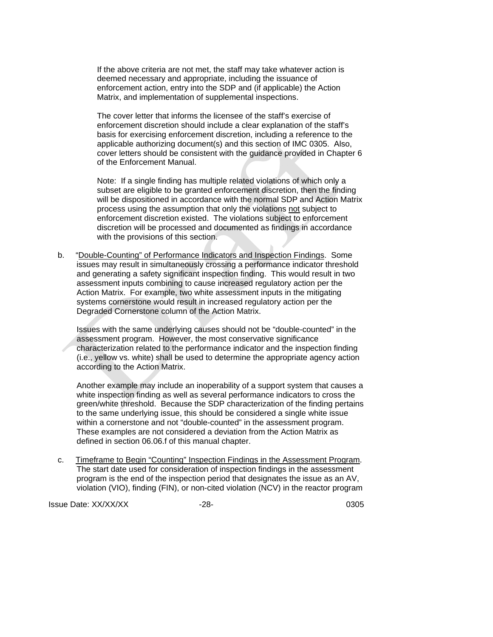If the above criteria are not met, the staff may take whatever action is deemed necessary and appropriate, including the issuance of enforcement action, entry into the SDP and (if applicable) the Action Matrix, and implementation of supplemental inspections.

The cover letter that informs the licensee of the staff's exercise of enforcement discretion should include a clear explanation of the staff's basis for exercising enforcement discretion, including a reference to the applicable authorizing document(s) and this section of IMC 0305. Also, cover letters should be consistent with the guidance provided in Chapter 6 of the Enforcement Manual.

Note: If a single finding has multiple related violations of which only a subset are eligible to be granted enforcement discretion, then the finding will be dispositioned in accordance with the normal SDP and Action Matrix process using the assumption that only the violations not subject to enforcement discretion existed. The violations subject to enforcement discretion will be processed and documented as findings in accordance with the provisions of this section.

 b. "Double-Counting" of Performance Indicators and Inspection Findings. Some issues may result in simultaneously crossing a performance indicator threshold and generating a safety significant inspection finding. This would result in two assessment inputs combining to cause increased regulatory action per the Action Matrix. For example, two white assessment inputs in the mitigating systems cornerstone would result in increased regulatory action per the Degraded Cornerstone column of the Action Matrix.

Issues with the same underlying causes should not be "double-counted" in the assessment program. However, the most conservative significance characterization related to the performance indicator and the inspection finding (i.e., yellow vs. white) shall be used to determine the appropriate agency action according to the Action Matrix.

Another example may include an inoperability of a support system that causes a white inspection finding as well as several performance indicators to cross the green/white threshold. Because the SDP characterization of the finding pertains to the same underlying issue, this should be considered a single white issue within a cornerstone and not "double-counted" in the assessment program. These examples are not considered a deviation from the Action Matrix as defined in section 06.06.f of this manual chapter.

 c. Timeframe to Begin "Counting" Inspection Findings in the Assessment Program. The start date used for consideration of inspection findings in the assessment program is the end of the inspection period that designates the issue as an AV, violation (VIO), finding (FIN), or non-cited violation (NCV) in the reactor program

Issue Date: XX/XX/XX -28- 0305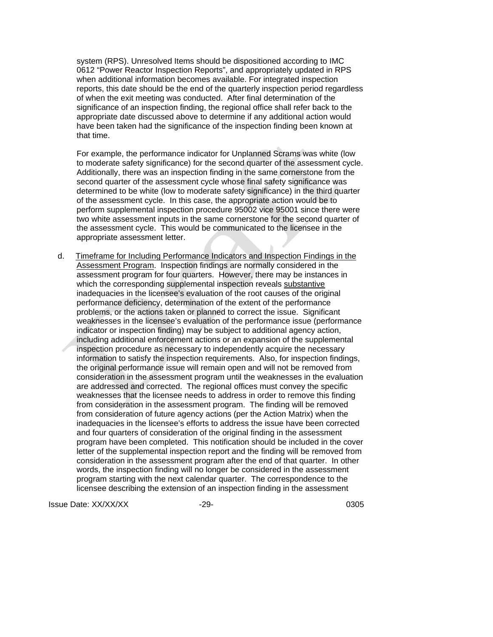system (RPS). Unresolved Items should be dispositioned according to IMC 0612 "Power Reactor Inspection Reports", and appropriately updated in RPS when additional information becomes available. For integrated inspection reports, this date should be the end of the quarterly inspection period regardless of when the exit meeting was conducted. After final determination of the significance of an inspection finding, the regional office shall refer back to the appropriate date discussed above to determine if any additional action would have been taken had the significance of the inspection finding been known at that time.

For example, the performance indicator for Unplanned Scrams was white (low to moderate safety significance) for the second quarter of the assessment cycle. Additionally, there was an inspection finding in the same cornerstone from the second quarter of the assessment cycle whose final safety significance was determined to be white (low to moderate safety significance) in the third quarter of the assessment cycle. In this case, the appropriate action would be to perform supplemental inspection procedure 95002 vice 95001 since there were two white assessment inputs in the same cornerstone for the second quarter of the assessment cycle. This would be communicated to the licensee in the appropriate assessment letter.

 d. Timeframe for Including Performance Indicators and Inspection Findings in the Assessment Program. Inspection findings are normally considered in the assessment program for four quarters. However, there may be instances in which the corresponding supplemental inspection reveals substantive inadequacies in the licensee's evaluation of the root causes of the original performance deficiency, determination of the extent of the performance problems, or the actions taken or planned to correct the issue. Significant weaknesses in the licensee's evaluation of the performance issue (performance indicator or inspection finding) may be subject to additional agency action, including additional enforcement actions or an expansion of the supplemental inspection procedure as necessary to independently acquire the necessary information to satisfy the inspection requirements. Also, for inspection findings, the original performance issue will remain open and will not be removed from consideration in the assessment program until the weaknesses in the evaluation are addressed and corrected. The regional offices must convey the specific weaknesses that the licensee needs to address in order to remove this finding from consideration in the assessment program. The finding will be removed from consideration of future agency actions (per the Action Matrix) when the inadequacies in the licensee's efforts to address the issue have been corrected and four quarters of consideration of the original finding in the assessment program have been completed. This notification should be included in the cover letter of the supplemental inspection report and the finding will be removed from consideration in the assessment program after the end of that quarter. In other words, the inspection finding will no longer be considered in the assessment program starting with the next calendar quarter. The correspondence to the licensee describing the extension of an inspection finding in the assessment

Issue Date: XX/XX/XX -29- 0305

$$
-29-
$$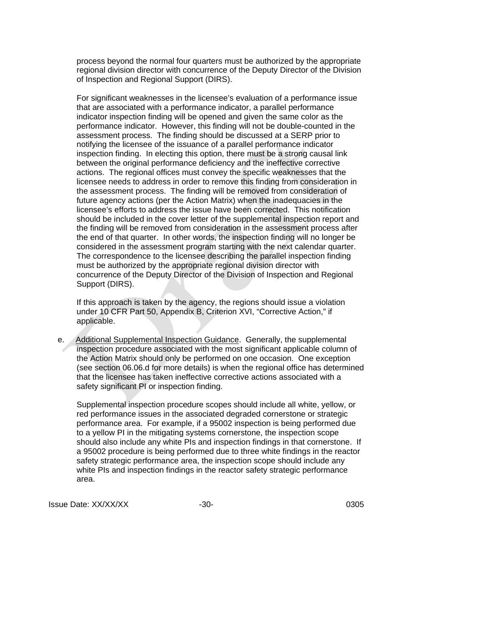process beyond the normal four quarters must be authorized by the appropriate regional division director with concurrence of the Deputy Director of the Division of Inspection and Regional Support (DIRS).

For significant weaknesses in the licensee's evaluation of a performance issue that are associated with a performance indicator, a parallel performance indicator inspection finding will be opened and given the same color as the performance indicator. However, this finding will not be double-counted in the assessment process. The finding should be discussed at a SERP prior to notifying the licensee of the issuance of a parallel performance indicator inspection finding. In electing this option, there must be a strong causal link between the original performance deficiency and the ineffective corrective actions. The regional offices must convey the specific weaknesses that the licensee needs to address in order to remove this finding from consideration in the assessment process. The finding will be removed from consideration of future agency actions (per the Action Matrix) when the inadequacies in the licensee's efforts to address the issue have been corrected. This notification should be included in the cover letter of the supplemental inspection report and the finding will be removed from consideration in the assessment process after the end of that quarter. In other words, the inspection finding will no longer be considered in the assessment program starting with the next calendar quarter. The correspondence to the licensee describing the parallel inspection finding must be authorized by the appropriate regional division director with concurrence of the Deputy Director of the Division of Inspection and Regional Support (DIRS).

If this approach is taken by the agency, the regions should issue a violation under 10 CFR Part 50, Appendix B, Criterion XVI, "Corrective Action," if applicable.

 e. Additional Supplemental Inspection Guidance. Generally, the supplemental inspection procedure associated with the most significant applicable column of the Action Matrix should only be performed on one occasion. One exception (see section 06.06.d for more details) is when the regional office has determined that the licensee has taken ineffective corrective actions associated with a safety significant PI or inspection finding.

Supplemental inspection procedure scopes should include all white, yellow, or red performance issues in the associated degraded cornerstone or strategic performance area. For example, if a 95002 inspection is being performed due to a yellow PI in the mitigating systems cornerstone, the inspection scope should also include any white PIs and inspection findings in that cornerstone. If a 95002 procedure is being performed due to three white findings in the reactor safety strategic performance area, the inspection scope should include any white PIs and inspection findings in the reactor safety strategic performance area.

**Issue Date: XX/XX/XX -30-** -30- -30- 0305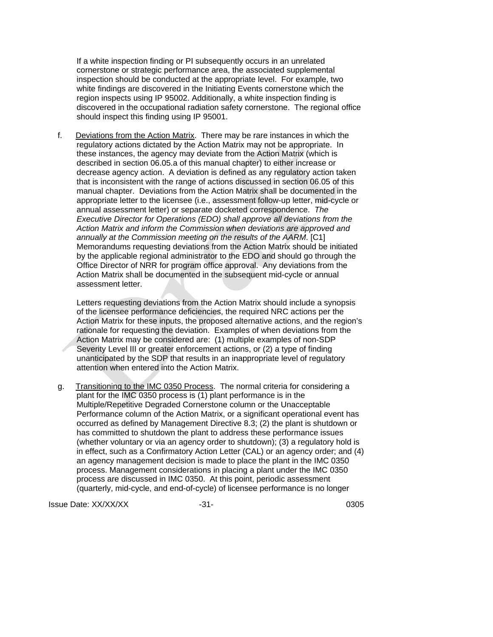If a white inspection finding or PI subsequently occurs in an unrelated cornerstone or strategic performance area, the associated supplemental inspection should be conducted at the appropriate level. For example, two white findings are discovered in the Initiating Events cornerstone which the region inspects using IP 95002. Additionally, a white inspection finding is discovered in the occupational radiation safety cornerstone. The regional office should inspect this finding using IP 95001.

 f. Deviations from the Action Matrix. There may be rare instances in which the regulatory actions dictated by the Action Matrix may not be appropriate. In these instances, the agency may deviate from the Action Matrix (which is described in section 06.05.a of this manual chapter) to either increase or decrease agency action. A deviation is defined as any regulatory action taken that is inconsistent with the range of actions discussed in section 06.05 of this manual chapter. Deviations from the Action Matrix shall be documented in the appropriate letter to the licensee (i.e., assessment follow-up letter, mid-cycle or annual assessment letter) or separate docketed correspondence. *The Executive Director for Operations (EDO) shall approve all deviations from the Action Matrix and inform the Commission when deviations are approved and annually at the Commission meeting on the results of the AARM*. [C1] Memorandums requesting deviations from the Action Matrix should be initiated by the applicable regional administrator to the EDO and should go through the Office Director of NRR for program office approval. Any deviations from the Action Matrix shall be documented in the subsequent mid-cycle or annual assessment letter.

Letters requesting deviations from the Action Matrix should include a synopsis of the licensee performance deficiencies, the required NRC actions per the Action Matrix for these inputs, the proposed alternative actions, and the region's rationale for requesting the deviation. Examples of when deviations from the Action Matrix may be considered are: (1) multiple examples of non-SDP Severity Level III or greater enforcement actions, or (2) a type of finding unanticipated by the SDP that results in an inappropriate level of regulatory attention when entered into the Action Matrix.

 g. Transitioning to the IMC 0350 Process. The normal criteria for considering a plant for the IMC 0350 process is (1) plant performance is in the Multiple/Repetitive Degraded Cornerstone column or the Unacceptable Performance column of the Action Matrix, or a significant operational event has occurred as defined by Management Directive 8.3; (2) the plant is shutdown or has committed to shutdown the plant to address these performance issues (whether voluntary or via an agency order to shutdown); (3) a regulatory hold is in effect, such as a Confirmatory Action Letter (CAL) or an agency order; and (4) an agency management decision is made to place the plant in the IMC 0350 process. Management considerations in placing a plant under the IMC 0350 process are discussed in IMC 0350. At this point, periodic assessment (quarterly, mid-cycle, and end-of-cycle) of licensee performance is no longer

Issue Date: XX/XX/XX -31- 0305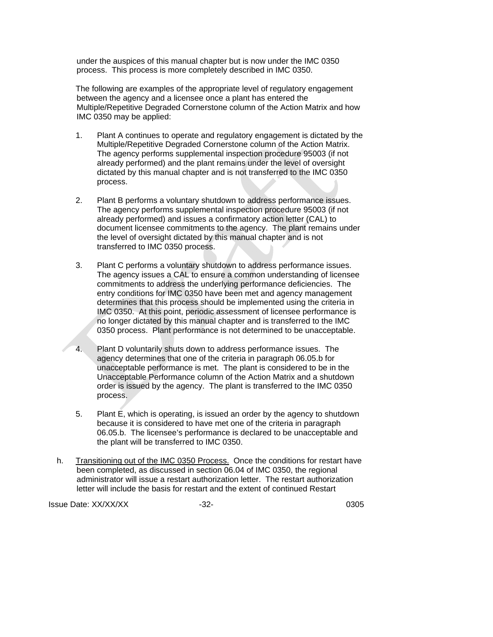under the auspices of this manual chapter but is now under the IMC 0350 process. This process is more completely described in IMC 0350.

 The following are examples of the appropriate level of regulatory engagement between the agency and a licensee once a plant has entered the Multiple/Repetitive Degraded Cornerstone column of the Action Matrix and how IMC 0350 may be applied:

- 1. Plant A continues to operate and regulatory engagement is dictated by the Multiple/Repetitive Degraded Cornerstone column of the Action Matrix. The agency performs supplemental inspection procedure 95003 (if not already performed) and the plant remains under the level of oversight dictated by this manual chapter and is not transferred to the IMC 0350 process.
- 2. Plant B performs a voluntary shutdown to address performance issues. The agency performs supplemental inspection procedure 95003 (if not already performed) and issues a confirmatory action letter (CAL) to document licensee commitments to the agency. The plant remains under the level of oversight dictated by this manual chapter and is not transferred to IMC 0350 process.
- 3. Plant C performs a voluntary shutdown to address performance issues. The agency issues a CAL to ensure a common understanding of licensee commitments to address the underlying performance deficiencies. The entry conditions for IMC 0350 have been met and agency management determines that this process should be implemented using the criteria in IMC 0350. At this point, periodic assessment of licensee performance is no longer dictated by this manual chapter and is transferred to the IMC 0350 process. Plant performance is not determined to be unacceptable.
- 4. Plant D voluntarily shuts down to address performance issues. The agency determines that one of the criteria in paragraph 06.05.b for unacceptable performance is met. The plant is considered to be in the Unacceptable Performance column of the Action Matrix and a shutdown order is issued by the agency. The plant is transferred to the IMC 0350 process.
- 5. Plant E, which is operating, is issued an order by the agency to shutdown because it is considered to have met one of the criteria in paragraph 06.05.b. The licensee's performance is declared to be unacceptable and the plant will be transferred to IMC 0350.
- h. Transitioning out of the IMC 0350 Process. Once the conditions for restart have been completed, as discussed in section 06.04 of IMC 0350, the regional administrator will issue a restart authorization letter. The restart authorization letter will include the basis for restart and the extent of continued Restart

**Issue Date: XX/XX/XX - 232-** -32- 0305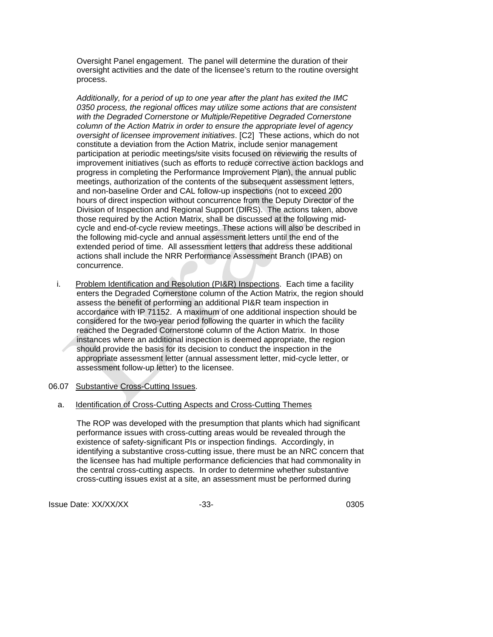Oversight Panel engagement. The panel will determine the duration of their oversight activities and the date of the licensee's return to the routine oversight process.

*Additionally, for a period of up to one year after the plant has exited the IMC 0350 process, the regional offices may utilize some actions that are consistent with the Degraded Cornerstone or Multiple/Repetitive Degraded Cornerstone column of the Action Matrix in order to ensure the appropriate level of agency oversight of licensee improvement initiatives*. [C2] These actions, which do not constitute a deviation from the Action Matrix, include senior management participation at periodic meetings/site visits focused on reviewing the results of improvement initiatives (such as efforts to reduce corrective action backlogs and progress in completing the Performance Improvement Plan), the annual public meetings, authorization of the contents of the subsequent assessment letters, and non-baseline Order and CAL follow-up inspections (not to exceed 200 hours of direct inspection without concurrence from the Deputy Director of the Division of Inspection and Regional Support (DIRS). The actions taken, above those required by the Action Matrix, shall be discussed at the following midcycle and end-of-cycle review meetings. These actions will also be described in the following mid-cycle and annual assessment letters until the end of the extended period of time. All assessment letters that address these additional actions shall include the NRR Performance Assessment Branch (IPAB) on concurrence.

- i. Problem Identification and Resolution (PI&R) Inspections. Each time a facility enters the Degraded Cornerstone column of the Action Matrix, the region should assess the benefit of performing an additional PI&R team inspection in accordance with IP 71152. A maximum of one additional inspection should be considered for the two-year period following the quarter in which the facility reached the Degraded Cornerstone column of the Action Matrix. In those instances where an additional inspection is deemed appropriate, the region should provide the basis for its decision to conduct the inspection in the appropriate assessment letter (annual assessment letter, mid-cycle letter, or assessment follow-up letter) to the licensee.
- 06.07 Substantive Cross-Cutting Issues.
	- a. Identification of Cross-Cutting Aspects and Cross-Cutting Themes

The ROP was developed with the presumption that plants which had significant performance issues with cross-cutting areas would be revealed through the existence of safety-significant PIs or inspection findings. Accordingly, in identifying a substantive cross-cutting issue, there must be an NRC concern that the licensee has had multiple performance deficiencies that had commonality in the central cross-cutting aspects. In order to determine whether substantive cross-cutting issues exist at a site, an assessment must be performed during

Issue Date: XX/XX/XX -33- 0305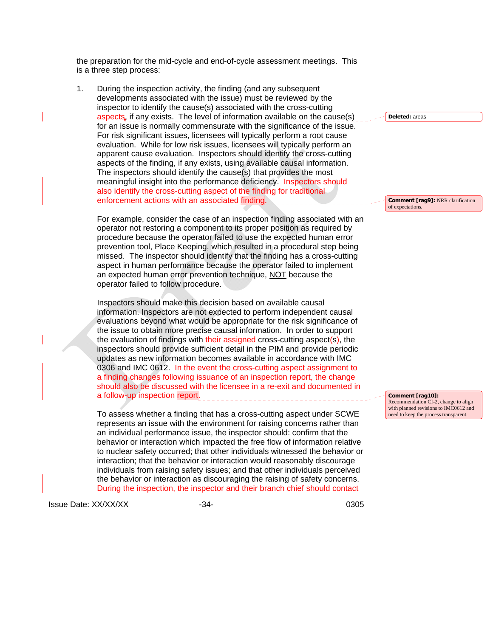the preparation for the mid-cycle and end-of-cycle assessment meetings. This is a three step process:

1. During the inspection activity, the finding (and any subsequent developments associated with the issue) must be reviewed by the inspector to identify the cause(s) associated with the cross-cutting aspects, if any exists. The level of information available on the cause(s) for an issue is normally commensurate with the significance of the issue. For risk significant issues, licensees will typically perform a root cause evaluation. While for low risk issues, licensees will typically perform an apparent cause evaluation. Inspectors should identify the cross-cutting aspects of the finding, if any exists, using available causal information. The inspectors should identify the cause(s) that provides the most meaningful insight into the performance deficiency. Inspectors should also identify the cross-cutting aspect of the finding for traditional enforcement actions with an associated finding.

For example, consider the case of an inspection finding associated with an operator not restoring a component to its proper position as required by procedure because the operator failed to use the expected human error prevention tool, Place Keeping, which resulted in a procedural step being missed. The inspector should identify that the finding has a cross-cutting aspect in human performance because the operator failed to implement an expected human error prevention technique, NOT because the operator failed to follow procedure.

Inspectors should make this decision based on available causal information. Inspectors are not expected to perform independent causal evaluations beyond what would be appropriate for the risk significance of the issue to obtain more precise causal information. In order to support the evaluation of findings with their assigned cross-cutting aspect(s), the inspectors should provide sufficient detail in the PIM and provide periodic updates as new information becomes available in accordance with IMC 0306 and IMC 0612. In the event the cross-cutting aspect assignment to a finding changes following issuance of an inspection report, the change should also be discussed with the licensee in a re-exit and documented in a follow-up inspection report.

To assess whether a finding that has a cross-cutting aspect under SCWE represents an issue with the environment for raising concerns rather than an individual performance issue, the inspector should: confirm that the behavior or interaction which impacted the free flow of information relative to nuclear safety occurred; that other individuals witnessed the behavior or interaction; that the behavior or interaction would reasonably discourage individuals from raising safety issues; and that other individuals perceived the behavior or interaction as discouraging the raising of safety concerns. During the inspection, the inspector and their branch chief should contact

**Issue Date: XX/XX/XX -34-** -34- 0305

**Deleted:** areas

**Comment [rag9]:** NRR clarification of expectations.

**Comment [rag10]:**  Recommendation CI-2, change to align with planned revisions to IMC0612 and need to keep the process transparent.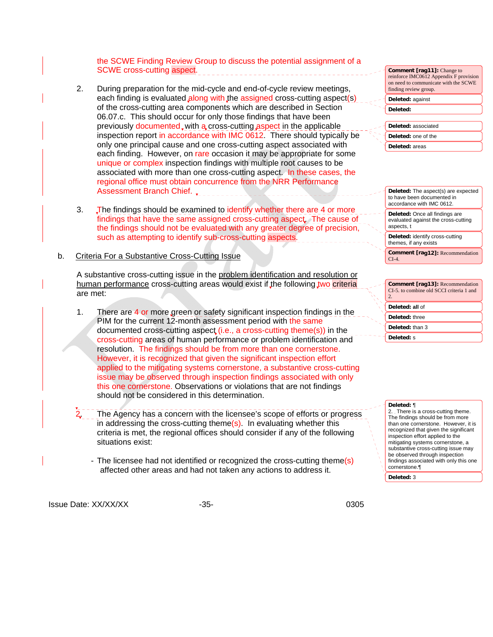the SCWE Finding Review Group to discuss the potential assignment of a SCWE cross-cutting aspect.

- 2. During preparation for the mid-cycle and end-of-cycle review meetings, each finding is evaluated along with the assigned cross-cutting aspect(s) of the cross-cutting area components which are described in Section 06.07.c. This should occur for only those findings that have been previously documented, with a cross-cutting aspect in the applicable inspection report in accordance with IMC 0612. There should typically be only one principal cause and one cross-cutting aspect associated with each finding. However, on rare occasion it may be appropriate for some unique or complex inspection findings with multiple root causes to be associated with more than one cross-cutting aspect. In these cases, the regional office must obtain concurrence from the NRR Performance Assessment Branch Chief.
- 3. The findings should be examined to identify whether there are 4 or more findings that have the same assigned cross-cutting aspect. The cause of the findings should not be evaluated with any greater degree of precision, such as attempting to identify sub-cross-cutting aspects.

#### b. Criteria For a Substantive Cross-Cutting Issue

A substantive cross-cutting issue in the problem identification and resolution or human performance cross-cutting areas would exist if the following two criteria are met:

- 1. There are 4 or more green or safety significant inspection findings in the PIM for the current 12-month assessment period with the same documented cross-cutting aspect (i.e., a cross-cutting theme(s)) in the cross-cutting areas of human performance or problem identification and resolution. The findings should be from more than one cornerstone. However, it is recognized that given the significant inspection effort applied to the mitigating systems cornerstone, a substantive cross-cutting issue may be observed through inspection findings associated with only this one cornerstone. Observations or violations that are not findings should not be considered in this determination.
- 2. The Agency has a concern with the licensee's scope of efforts or progress in addressing the cross-cutting theme $(s)$ . In evaluating whether this criteria is met, the regional offices should consider if any of the following situations exist:
	- The licensee had not identified or recognized the cross-cutting theme(s) affected other areas and had not taken any actions to address it.

| <b>Comment [rag11]:</b> Change to<br>reinforce IMC0612 Appendix F provision<br>on need to communicate with the SCWE<br>finding review group. |
|----------------------------------------------------------------------------------------------------------------------------------------------|
| Deleted: against                                                                                                                             |
| <b>Deleted</b>                                                                                                                               |



| to have been documented in | Deleted: The aspect(s) are expected |
|----------------------------|-------------------------------------|
|                            |                                     |
|                            | accordance with IMC 0612.           |

| Deleted: Once all findings are      |  |  |  |  |  |
|-------------------------------------|--|--|--|--|--|
| evaluated against the cross-cutting |  |  |  |  |  |
| aspects, t                          |  |  |  |  |  |

| Deleted: identify cross-cutting |
|---------------------------------|
| themes, if any exists           |

|         | <b>Comment [rag12]:</b> Recommendation |
|---------|----------------------------------------|
| $CI-4.$ |                                        |

| <b>Comment [rag13]: Recommendation</b><br>CI-5. to combine old SCCI criteria 1 and<br>$\overline{2}$ . |
|--------------------------------------------------------------------------------------------------------|
| Deleted: all of                                                                                        |
| Deleted: three                                                                                         |
| Deleted: than 3                                                                                        |
| Deleted: s                                                                                             |

| Deleted: ¶                             |
|----------------------------------------|
| 2. There is a cross-cutting theme.     |
| The findings should be from more       |
| than one cornerstone. However, it is   |
| recognized that given the significant  |
| inspection effort applied to the       |
| mitigating systems cornerstone, a      |
| substantive cross-cutting issue may    |
| be observed through inspection         |
| findings associated with only this one |
| cornerstone.¶                          |
| eleted: 3                              |

Issue Date: XX/XX/XX -35- 0305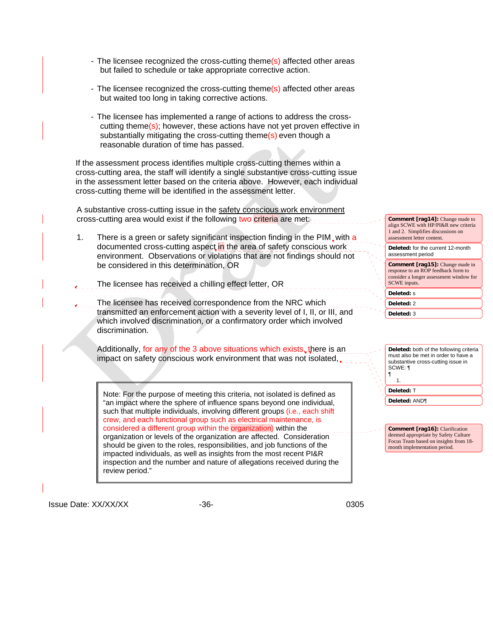- The licensee recognized the cross-cutting theme(s) affected other areas but failed to schedule or take appropriate corrective action.
- The licensee recognized the cross-cutting theme(s) affected other areas but waited too long in taking corrective actions.
- The licensee has implemented a range of actions to address the crosscutting theme(s); however, these actions have not yet proven effective in substantially mitigating the cross-cutting theme(s) even though a reasonable duration of time has passed.

If the assessment process identifies multiple cross-cutting themes within a cross-cutting area, the staff will identify a single substantive cross-cutting issue in the assessment letter based on the criteria above. However, each individual cross-cutting theme will be identified in the assessment letter.

A substantive cross-cutting issue in the safety conscious work environment cross-cutting area would exist if the following two criteria are met:

- 1. There is a green or safety significant inspection finding in the PIM with a documented cross-cutting aspect in the area of safety conscious work environment. Observations or violations that are not findings should not be considered in this determination, OR
- . The licensee has received a chilling effect letter, OR
- The licensee has received correspondence from the NRC which transmitted an enforcement action with a severity level of I, II, or III, and which involved discrimination, or a confirmatory order which involved discrimination.

Additionally, for any of the 3 above situations which exists, there is an impact on safety conscious work environment that was not isolated,

Note: For the purpose of meeting this criteria, not isolated is defined as "an impact where the sphere of influence spans beyond one individual, such that multiple individuals, involving different groups (i.e., each shift crew, and each functional group such as electrical maintenance, is considered a different group within the organization) within the organization or levels of the organization are affected. Consideration should be given to the roles, responsibilities, and job functions of the impacted individuals, as well as insights from the most recent PI&R inspection and the number and nature of allegations received during the review period."

**Comment [rag14]:** Change made to align SCWE with HP/PI&R new criteria 1 and 2. Simplifies discussions on assessment letter content. **Deleted:** for the current 12-month assessment period **Comment [rag15]:** Change made in response to an ROP feedback form to consider a longer assessment window for SCWE inputs. **Deleted:** s **Deleted:** 2

**Deleted:** 3

**Deleted:** both of the following criteria must also be met in order to have a substantive cross-cutting issue in SCWE: ¶ ¶ 1.

**Deleted:** T

**Deleted:** AND¶

**Comment [rag16]:** Clarification deemed appropriate by Safety Culture Focus Team based on insights from 18 month implementation period.

Issue Date: XX/XX/XX - 236- 236- 236- 236- 2305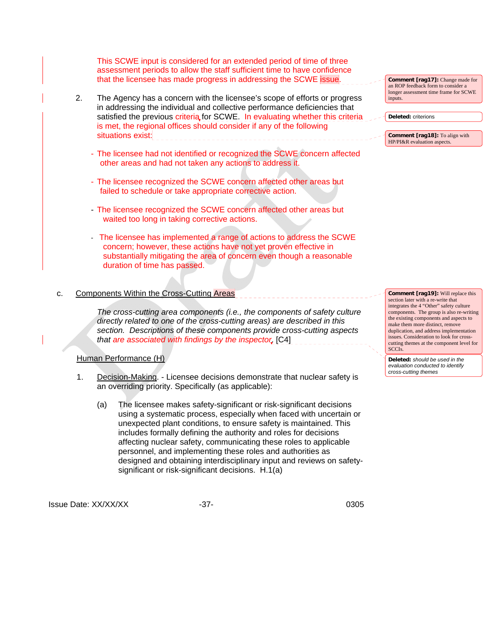This SCWE input is considered for an extended period of time of three assessment periods to allow the staff sufficient time to have confidence that the licensee has made progress in addressing the SCWE issue.

- 2. The Agency has a concern with the licensee's scope of efforts or progress in addressing the individual and collective performance deficiencies that satisfied the previous criteria for SCWE. In evaluating whether this criteria is met, the regional offices should consider if any of the following situations exist:
	- The licensee had not identified or recognized the SCWE concern affected other areas and had not taken any actions to address it.
	- The licensee recognized the SCWE concern affected other areas but failed to schedule or take appropriate corrective action.
	- The licensee recognized the SCWE concern affected other areas but waited too long in taking corrective actions.
	- The licensee has implemented a range of actions to address the SCWE concern; however, these actions have not yet proven effective in substantially mitigating the area of concern even though a reasonable duration of time has passed.
- c. Components Within the Cross-Cutting Areas

 *The cross-cutting area components (i.e., the components of safety culture directly related to one of the cross-cutting areas) are described in this section. Descriptions of these components provide cross-cutting aspects that are associated with findings by the inspector*. [C4]

Human Performance (H)

- 1. Decision-Making. Licensee decisions demonstrate that nuclear safety is an overriding priority. Specifically (as applicable):
	- (a) The licensee makes safety-significant or risk-significant decisions using a systematic process, especially when faced with uncertain or unexpected plant conditions, to ensure safety is maintained. This includes formally defining the authority and roles for decisions affecting nuclear safety, communicating these roles to applicable personnel, and implementing these roles and authorities as designed and obtaining interdisciplinary input and reviews on safetysignificant or risk-significant decisions. H.1(a)

**Issue Date: XX/XX/XX -37-** 0305

**Comment [rag17]:** Change made for an ROP feedback form to consider a longer assessment time frame for SCWE inputs.

**Deleted:** criterions

**Comment [rag18]:** To align with HP/PI&R evaluation aspects.

**Comment [rag19]:** Will replace this section later with a re-write that integrates the 4 "Other" safety culture components. The group is also re-writing the existing components and aspects to make them more distinct, remove duplication, and address implementation issues. Consideration to look for crosscutting themes at the component level for SCCIs.

**Deleted:** *should be used in the evaluation conducted to identify cross-cutting themes*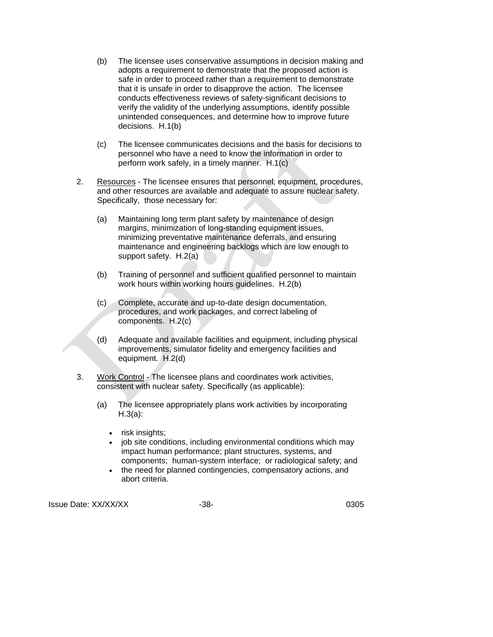- (b) The licensee uses conservative assumptions in decision making and adopts a requirement to demonstrate that the proposed action is safe in order to proceed rather than a requirement to demonstrate that it is unsafe in order to disapprove the action. The licensee conducts effectiveness reviews of safety-significant decisions to verify the validity of the underlying assumptions, identify possible unintended consequences, and determine how to improve future decisions. H.1(b)
- (c) The licensee communicates decisions and the basis for decisions to personnel who have a need to know the information in order to perform work safely, in a timely manner. H.1(c)
- 2. Resources The licensee ensures that personnel, equipment, procedures, and other resources are available and adequate to assure nuclear safety. Specifically, those necessary for:
	- (a) Maintaining long term plant safety by maintenance of design margins, minimization of long-standing equipment issues, minimizing preventative maintenance deferrals, and ensuring maintenance and engineering backlogs which are low enough to support safety. H.2(a)
	- (b) Training of personnel and sufficient qualified personnel to maintain work hours within working hours guidelines. H.2(b)
	- (c) Complete, accurate and up-to-date design documentation, procedures, and work packages, and correct labeling of components. H.2(c)
	- (d) Adequate and available facilities and equipment, including physical improvements, simulator fidelity and emergency facilities and equipment. H.2(d)
- 3. Work Control The licensee plans and coordinates work activities, consistent with nuclear safety. Specifically (as applicable):
	- (a) The licensee appropriately plans work activities by incorporating H.3(a):
		- risk insights;
		- job site conditions, including environmental conditions which may impact human performance; plant structures, systems, and components; human-system interface; or radiological safety; and
		- the need for planned contingencies, compensatory actions, and abort criteria.

Issue Date: XX/XX/XX -38- 0305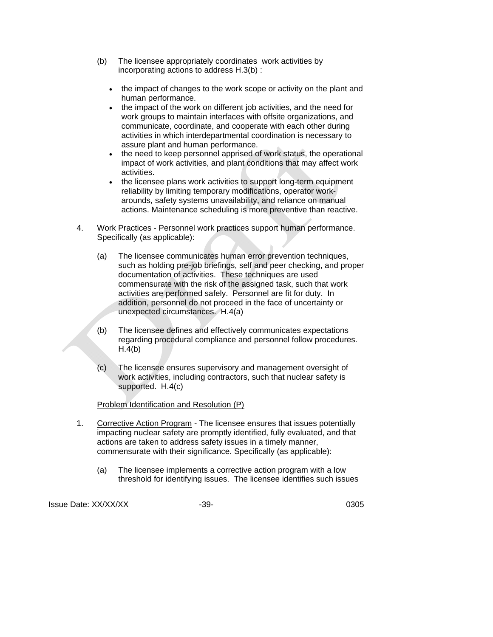- (b) The licensee appropriately coordinates work activities by incorporating actions to address H.3(b) :
	- the impact of changes to the work scope or activity on the plant and human performance.
	- the impact of the work on different job activities, and the need for work groups to maintain interfaces with offsite organizations, and communicate, coordinate, and cooperate with each other during activities in which interdepartmental coordination is necessary to assure plant and human performance.
	- the need to keep personnel apprised of work status, the operational impact of work activities, and plant conditions that may affect work activities.
	- the licensee plans work activities to support long-term equipment reliability by limiting temporary modifications, operator workarounds, safety systems unavailability, and reliance on manual actions. Maintenance scheduling is more preventive than reactive.
- 4. Work Practices Personnel work practices support human performance. Specifically (as applicable):
	- (a) The licensee communicates human error prevention techniques, such as holding pre-job briefings, self and peer checking, and proper documentation of activities. These techniques are used commensurate with the risk of the assigned task, such that work activities are performed safely. Personnel are fit for duty. In addition, personnel do not proceed in the face of uncertainty or unexpected circumstances. H.4(a)
	- (b) The licensee defines and effectively communicates expectations regarding procedural compliance and personnel follow procedures. H.4(b)
	- (c) The licensee ensures supervisory and management oversight of work activities, including contractors, such that nuclear safety is supported. H.4(c)

#### Problem Identification and Resolution (P)

- 1. Corrective Action Program The licensee ensures that issues potentially impacting nuclear safety are promptly identified, fully evaluated, and that actions are taken to address safety issues in a timely manner, commensurate with their significance. Specifically (as applicable):
	- (a) The licensee implements a corrective action program with a low threshold for identifying issues. The licensee identifies such issues

**Issue Date: XX/XX/XX -39-** -39- -39- 0305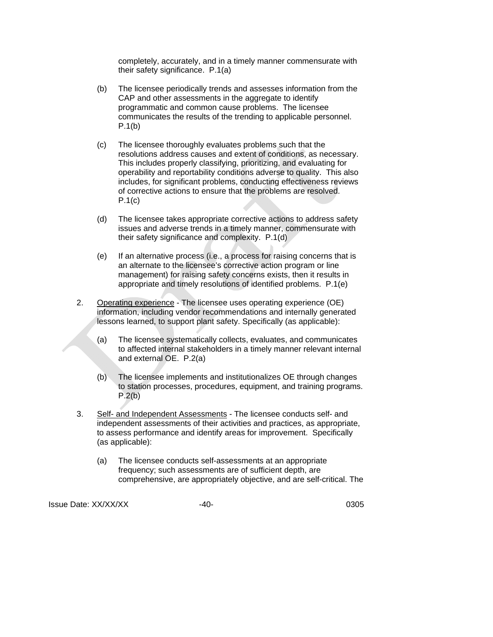completely, accurately, and in a timely manner commensurate with their safety significance. P.1(a)

- (b) The licensee periodically trends and assesses information from the CAP and other assessments in the aggregate to identify programmatic and common cause problems. The licensee communicates the results of the trending to applicable personnel. P.1(b)
- (c) The licensee thoroughly evaluates problems such that the resolutions address causes and extent of conditions, as necessary. This includes properly classifying, prioritizing, and evaluating for operability and reportability conditions adverse to quality. This also includes, for significant problems, conducting effectiveness reviews of corrective actions to ensure that the problems are resolved. P.1(c)
- (d) The licensee takes appropriate corrective actions to address safety issues and adverse trends in a timely manner, commensurate with their safety significance and complexity. P.1(d)
- (e) If an alternative process (i.e., a process for raising concerns that is an alternate to the licensee's corrective action program or line management) for raising safety concerns exists, then it results in appropriate and timely resolutions of identified problems. P.1(e)
- 2. Operating experience The licensee uses operating experience (OE) information, including vendor recommendations and internally generated lessons learned, to support plant safety. Specifically (as applicable):
	- (a) The licensee systematically collects, evaluates, and communicates to affected internal stakeholders in a timely manner relevant internal and external OE. P.2(a)
	- (b) The licensee implements and institutionalizes OE through changes to station processes, procedures, equipment, and training programs. P.2(b)
- 3. Self- and Independent Assessments The licensee conducts self- and independent assessments of their activities and practices, as appropriate, to assess performance and identify areas for improvement. Specifically (as applicable):
	- (a) The licensee conducts self-assessments at an appropriate frequency; such assessments are of sufficient depth, are comprehensive, are appropriately objective, and are self-critical. The

Issue Date: XX/XX/XX -40- 0305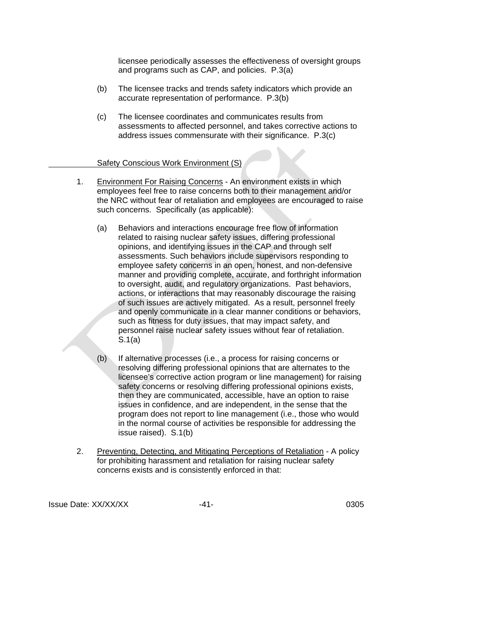licensee periodically assesses the effectiveness of oversight groups and programs such as CAP, and policies. P.3(a)

- (b) The licensee tracks and trends safety indicators which provide an accurate representation of performance. P.3(b)
- (c) The licensee coordinates and communicates results from assessments to affected personnel, and takes corrective actions to address issues commensurate with their significance. P.3(c)

#### Safety Conscious Work Environment (S)

- 1. Environment For Raising Concerns An environment exists in which employees feel free to raise concerns both to their management and/or the NRC without fear of retaliation and employees are encouraged to raise such concerns. Specifically (as applicable):
	- (a) Behaviors and interactions encourage free flow of information related to raising nuclear safety issues, differing professional opinions, and identifying issues in the CAP and through self assessments. Such behaviors include supervisors responding to employee safety concerns in an open, honest, and non-defensive manner and providing complete, accurate, and forthright information to oversight, audit, and regulatory organizations. Past behaviors, actions, or interactions that may reasonably discourage the raising of such issues are actively mitigated. As a result, personnel freely and openly communicate in a clear manner conditions or behaviors, such as fitness for duty issues, that may impact safety, and personnel raise nuclear safety issues without fear of retaliation. S.1(a)
	- (b) If alternative processes (i.e., a process for raising concerns or resolving differing professional opinions that are alternates to the licensee's corrective action program or line management) for raising safety concerns or resolving differing professional opinions exists, then they are communicated, accessible, have an option to raise issues in confidence, and are independent, in the sense that the program does not report to line management (i.e., those who would in the normal course of activities be responsible for addressing the issue raised). S.1(b)
- 2. Preventing, Detecting, and Mitigating Perceptions of Retaliation A policy for prohibiting harassment and retaliation for raising nuclear safety concerns exists and is consistently enforced in that:

Issue Date: XX/XX/XX -41- 0305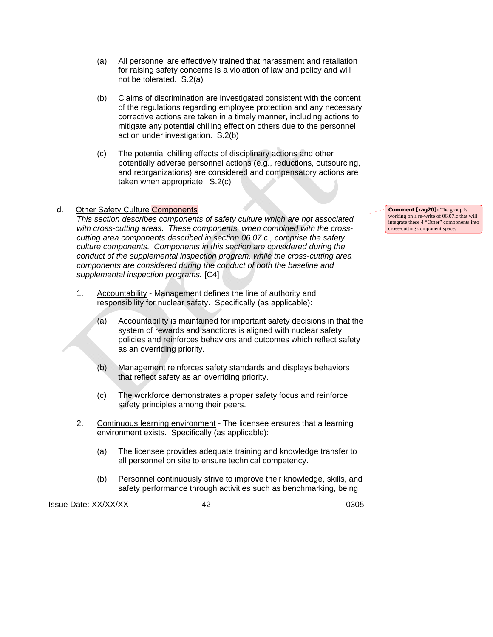- (a) All personnel are effectively trained that harassment and retaliation for raising safety concerns is a violation of law and policy and will not be tolerated. S.2(a)
- (b) Claims of discrimination are investigated consistent with the content of the regulations regarding employee protection and any necessary corrective actions are taken in a timely manner, including actions to mitigate any potential chilling effect on others due to the personnel action under investigation. S.2(b)
- (c) The potential chilling effects of disciplinary actions and other potentially adverse personnel actions (e.g., reductions, outsourcing, and reorganizations) are considered and compensatory actions are taken when appropriate. S.2(c)

#### d. Other Safety Culture Components

*This section describes components of safety culture which are not associated with cross-cutting areas. These components, when combined with the crosscutting area components described in section 06.07.c., comprise the safety culture components. Components in this section are considered during the conduct of the supplemental inspection program, while the cross-cutting area components are considered during the conduct of both the baseline and supplemental inspection programs.* [C4]

- 1. Accountability Management defines the line of authority and responsibility for nuclear safety. Specifically (as applicable):
	- (a) Accountability is maintained for important safety decisions in that the system of rewards and sanctions is aligned with nuclear safety policies and reinforces behaviors and outcomes which reflect safety as an overriding priority.
	- (b) Management reinforces safety standards and displays behaviors that reflect safety as an overriding priority.
	- (c) The workforce demonstrates a proper safety focus and reinforce safety principles among their peers.
- 2. Continuous learning environment The licensee ensures that a learning environment exists. Specifically (as applicable):
	- (a) The licensee provides adequate training and knowledge transfer to all personnel on site to ensure technical competency.
	- (b) Personnel continuously strive to improve their knowledge, skills, and safety performance through activities such as benchmarking, being

Issue Date: XX/XX/XX -42- 0305

**Comment [rag20]:** The group is working on a re-write of 06.07.c that will integrate these 4 "Other" components into cross-cutting component space.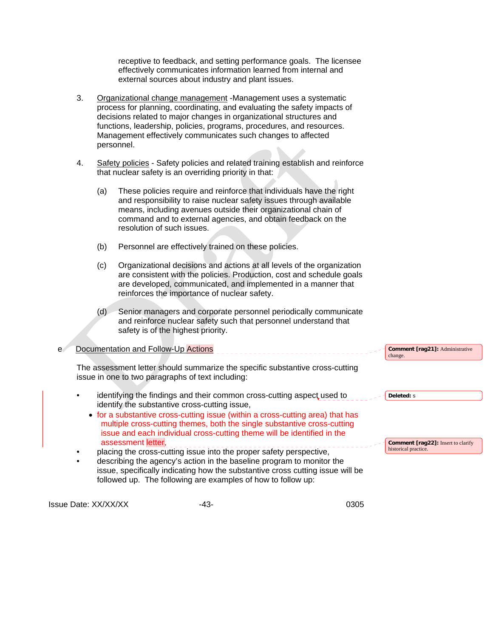receptive to feedback, and setting performance goals. The licensee effectively communicates information learned from internal and external sources about industry and plant issues.

- 3. Organizational change management -Management uses a systematic process for planning, coordinating, and evaluating the safety impacts of decisions related to major changes in organizational structures and functions, leadership, policies, programs, procedures, and resources. Management effectively communicates such changes to affected personnel.
- 4. Safety policies Safety policies and related training establish and reinforce that nuclear safety is an overriding priority in that:
	- (a) These policies require and reinforce that individuals have the right and responsibility to raise nuclear safety issues through available means, including avenues outside their organizational chain of command and to external agencies, and obtain feedback on the resolution of such issues.
	- (b) Personnel are effectively trained on these policies.
	- (c) Organizational decisions and actions at all levels of the organization are consistent with the policies. Production, cost and schedule goals are developed, communicated, and implemented in a manner that reinforces the importance of nuclear safety.
	- (d) Senior managers and corporate personnel periodically communicate and reinforce nuclear safety such that personnel understand that safety is of the highest priority.

#### e Documentation and Follow-Up Actions

The assessment letter should summarize the specific substantive cross-cutting issue in one to two paragraphs of text including:

- identifying the findings and their common cross-cutting aspect used to identify the substantive cross-cutting issue,
	- for a substantive cross-cutting issue (within a cross-cutting area) that has multiple cross-cutting themes, both the single substantive cross-cutting issue and each individual cross-cutting theme will be identified in the assessment letter,
- placing the cross-cutting issue into the proper safety perspective,
- describing the agency's action in the baseline program to monitor the issue, specifically indicating how the substantive cross cutting issue will be followed up. The following are examples of how to follow up:

Issue Date: XX/XX/XX -43- 0305

**Comment [rag21]:** Administrative

**Comment [rag22]:** Insert to clarify

change.

**Deleted:** s

historical practice.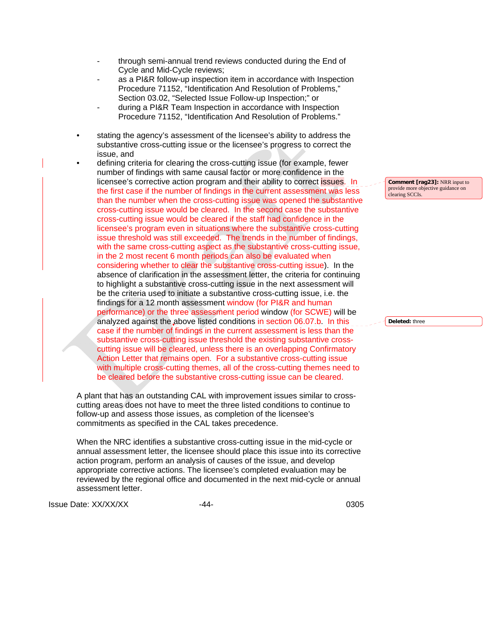- through semi-annual trend reviews conducted during the End of Cycle and Mid-Cycle reviews;
- as a PI&R follow-up inspection item in accordance with Inspection Procedure 71152, "Identification And Resolution of Problems," Section 03.02, "Selected Issue Follow-up Inspection;" or
- during a PI&R Team Inspection in accordance with Inspection Procedure 71152, "Identification And Resolution of Problems."
- stating the agency's assessment of the licensee's ability to address the substantive cross-cutting issue or the licensee's progress to correct the issue, and
- defining criteria for clearing the cross-cutting issue (for example, fewer number of findings with same causal factor or more confidence in the licensee's corrective action program and their ability to correct **issues**. In the first case if the number of findings in the current assessment was less than the number when the cross-cutting issue was opened the substantive cross-cutting issue would be cleared. In the second case the substantive cross-cutting issue would be cleared if the staff had confidence in the licensee's program even in situations where the substantive cross-cutting issue threshold was still exceeded. The trends in the number of findings, with the same cross-cutting aspect as the substantive cross-cutting issue, in the 2 most recent 6 month periods can also be evaluated when considering whether to clear the substantive cross-cutting issue). In the absence of clarification in the assessment letter, the criteria for continuing to highlight a substantive cross-cutting issue in the next assessment will be the criteria used to initiate a substantive cross-cutting issue, i.e. the findings for a 12 month assessment window (for PI&R and human performance) or the three assessment period window (for SCWE) will be analyzed against the above listed conditions in section 06.07.b. In this case if the number of findings in the current assessment is less than the substantive cross-cutting issue threshold the existing substantive crosscutting issue will be cleared, unless there is an overlapping Confirmatory Action Letter that remains open. For a substantive cross-cutting issue with multiple cross-cutting themes, all of the cross-cutting themes need to be cleared before the substantive cross-cutting issue can be cleared.

A plant that has an outstanding CAL with improvement issues similar to crosscutting areas does not have to meet the three listed conditions to continue to follow-up and assess those issues, as completion of the licensee's commitments as specified in the CAL takes precedence.

When the NRC identifies a substantive cross-cutting issue in the mid-cycle or annual assessment letter, the licensee should place this issue into its corrective action program, perform an analysis of causes of the issue, and develop appropriate corrective actions. The licensee's completed evaluation may be reviewed by the regional office and documented in the next mid-cycle or annual assessment letter.

Issue Date: XX/XX/XX -44- 0305

**Comment [rag23]:** NRR input to provide more objective guidance on clearing SCCIs.

**Deleted:** three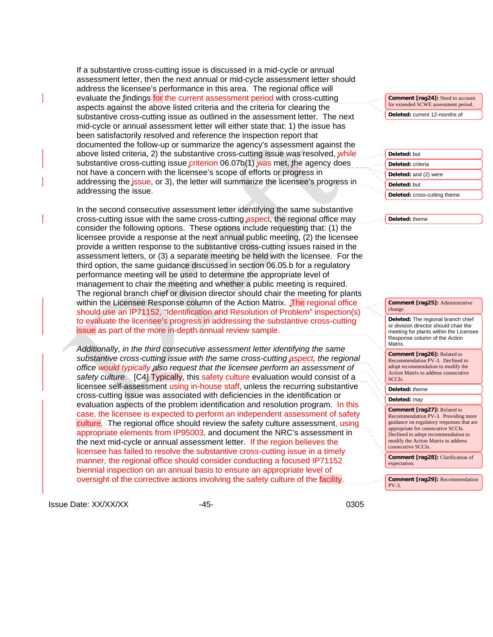If a substantive cross-cutting issue is discussed in a mid-cycle or annual assessment letter, then the next annual or mid-cycle assessment letter should address the licensee's performance in this area. The regional office will evaluate the findings for the current assessment period with cross-cutting aspects against the above listed criteria and the criteria for clearing the substantive cross-cutting issue as outlined in the assessment letter. The next mid-cycle or annual assessment letter will either state that: 1) the issue has been satisfactorily resolved and reference the inspection report that documented the follow-up or summarize the agency's assessment against the above listed criteria, 2) the substantive cross-cutting issue was resolved, while substantive cross-cutting issue *criterion*  $06.07b(1)$  was met, the agency does not have a concern with the licensee's scope of efforts or progress in addressing the *jssue*, or 3), the letter will summarize the licensee's progress in addressing the issue.

In the second consecutive assessment letter identifying the same substantive cross-cutting issue with the same cross-cutting aspect, the regional office may consider the following options. These options include requesting that: (1) the licensee provide a response at the next annual public meeting, (2) the licensee provide a written response to the substantive cross-cutting issues raised in the assessment letters, or (3) a separate meeting be held with the licensee. For the third option, the same guidance discussed in section 06.05.b for a regulatory performance meeting will be used to determine the appropriate level of management to chair the meeting and whether a public meeting is required. The regional branch chief or division director should chair the meeting for plants within the Licensee Response column of the Action Matrix. The regional office should use an IP71152, "Identification and Resolution of Problem" inspection(s) to evaluate the licensee's progress in addressing the substantive cross-cutting issue as part of the more in-depth annual review sample.

*Additionally, in the third consecutive assessment letter identifying the same substantive cross-cutting issue with the same cross-cutting aspect, the regional office would typically also request that the licensee perform an assessment of*  safety culture. [C4] **Typically**, this safety culture evaluation would consist of a licensee self-assessment using in-house staff, unless the recurring substantive cross-cutting issue was associated with deficiencies in the identification or evaluation aspects of the problem identification and resolution program. In this case, the licensee is expected to perform an independent assessment of safety culture. The regional office should review the safety culture assessment, using appropriate elements from IP95003, and document the NRC's assessment in the next mid-cycle or annual assessment letter. If the region believes the licensee has failed to resolve the substantive cross-cutting issue in a timely manner, the regional office should consider conducting a focused IP71152 biennial inspection on an annual basis to ensure an appropriate level of oversight of the corrective actions involving the safety culture of the facility

**Comment [rag24]:** Need to account for extended SCWE assessment period. **Deleted:** current 12-months of



**Deleted:** theme

**Comment [rag25]:** Administrative change.

**Deleted:** The regional branch chief or division director should chair the meeting for plants within the Licensee Response column of the Action Matrix.

**Comment [rag26]:** Related to Recommendation PV-3. Declined to adopt recommendation to modify the Action Matrix to address consecutive SCCIs.

#### **Deleted:** *theme*

#### **Deleted:** *may*

**Comment [rag27]:** Related to Recommendation PV-3. Providing more guidance on regulatory responses that are appropriate for consecutive SCCIs. Declined to adopt recommendation to modify the Action Matrix to address consecutive SCCIs.

**Comment [rag28]:** Clarification of expectation.

**Comment [rag29]:** Recommendation PV-3.

Issue Date: XX/XX/XX -45- 0305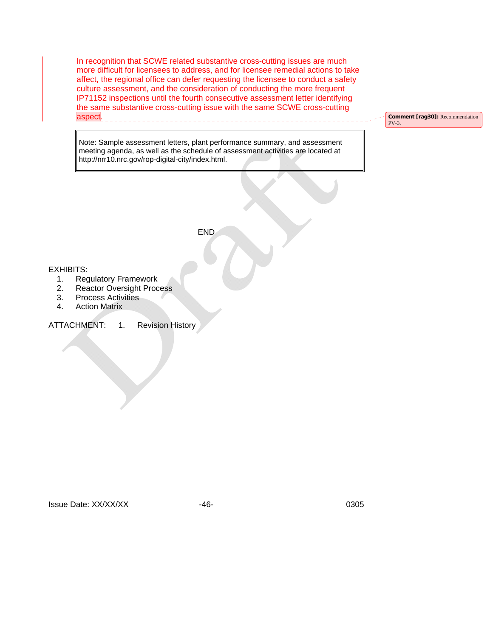In recognition that SCWE related substantive cross-cutting issues are much more difficult for licensees to address, and for licensee remedial actions to take affect, the regional office can defer requesting the licensee to conduct a safety culture assessment, and the consideration of conducting the more frequent IP71152 inspections until the fourth consecutive assessment letter identifying the same substantive cross-cutting issue with the same SCWE cross-cutting aspect.

**Comment [rag30]:** Recommendation PV-3.

Note: Sample assessment letters, plant performance summary, and assessment meeting agenda, as well as the schedule of assessment activities are located at http://nrr10.nrc.gov/rop-digital-city/index.html.

END

EXHIBITS:

- 1. Regulatory Framework<br>2. Reactor Oversight Proc
- Reactor Oversight Process
- 3. Process Activities
- 4. Action Matrix

ATTACHMENT: 1. Revision History

Issue Date: XX/XX/XX -46- 0305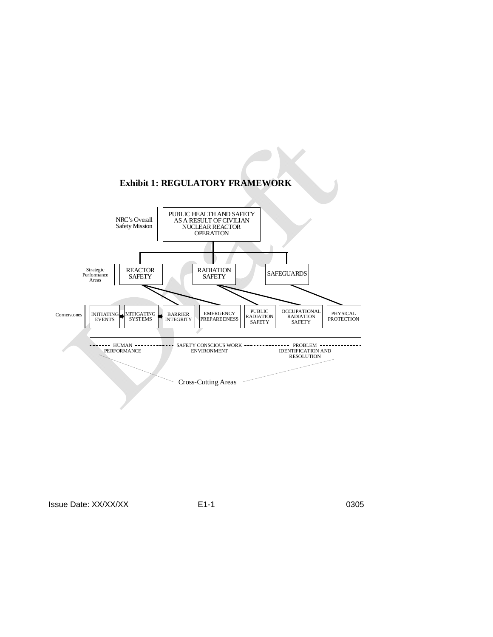

Issue Date: XX/XX/XX E1-1 E1-1 0305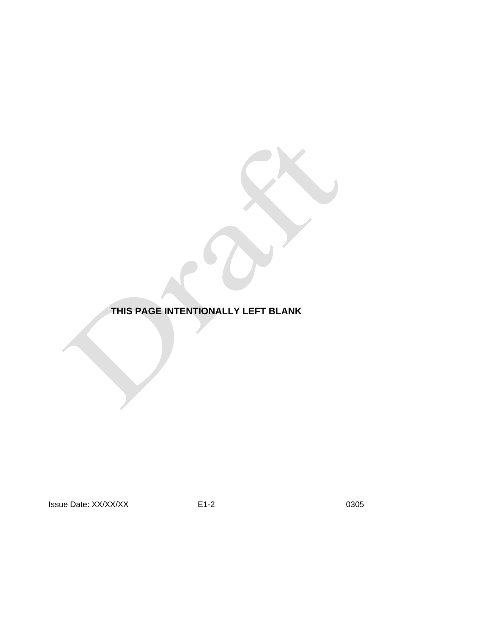# **THIS PAGE INTENTIONALLY LEFT BLANK**

Issue Date: XX/XX/XX E1-2 0305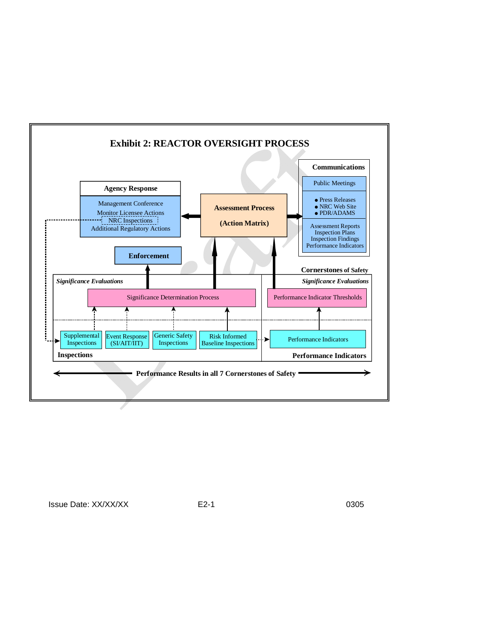

Issue Date: XX/XX/XX E2-1 E2-1 0305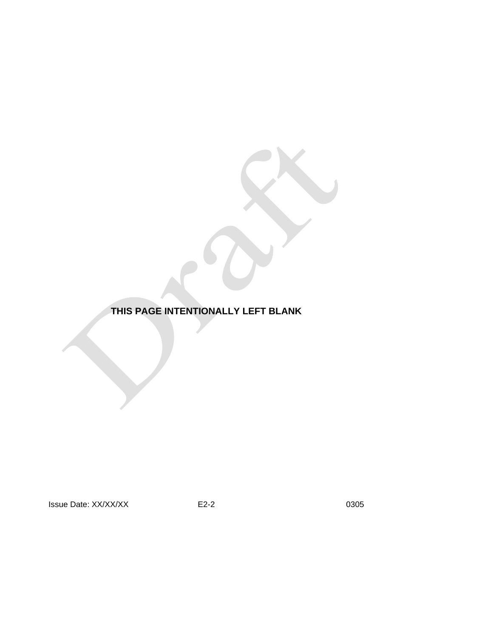# **THIS PAGE INTENTIONALLY LEFT BLANK**

Issue Date: XX/XX/XX E2-2 0305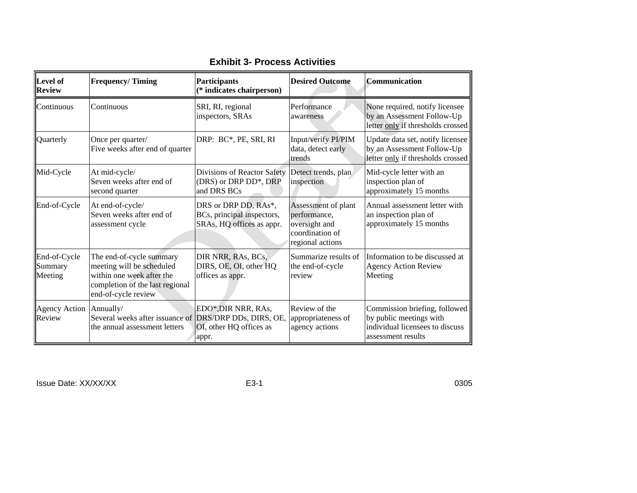#### **Level of ReviewFrequency/ Timing Participants (\* indicates chairperson) Desired Outcome Communication** Continuous Continuous SRI, RI, regional inspectors, SRAs Performance awareness None required, notify licensee by an Assessment Follow-Up letter only if thresholds crossed Quarterly Once per quarter/ Five weeks after end of quarter DRP: BC\*, PE, SRI, RI Input/verify PI/PIM data, detect early trends Update data set, notify licensee by an Assessment Follow-Up letter only if thresholds crossed Mid-Cycle | At mid-cycle/ Seven weeks after end of second quarter Divisions of Reactor Safety (DRS) or DRP DD\*, DRP and DRS BCs Detect trends, plan inspection Mid-cycle letter with an inspection plan of approximately 15 months  $End-of-Cycle$   $At end-of-cycle$ Seven weeks after end of assessment cycle DRS or DRP DD, RAs<sup>\*</sup>. BCs, principal inspectors, SRAs, HQ offices as appr. Assessment of plant performance, oversight and coordination of regional actions Annual assessment letter with an inspection plan of approximately 15 months End-of-Cycle Summary Meeting The end-of-cycle summary meeting will be scheduled within one week after the completion of the last regional end-of-cycle review DIR NRR, RAs, BCs, DIRS, OE, OI, other HQ offices as appr. Summarize results of the end-of-cycle review Information to be discussed at Agency Action Review Meeting Agency Action Review Annually/ Several weeks after issuance of DRS/DRP DDs, DIRS, OE, the annual assessment letters EDO\*,DIR NRR, RAs, OI, other HQ offices as appr. Review of the appropriateness of agency actions Commission briefing, followed by public meetings with individual licensees to discuss assessment results

### **Exhibit 3- Process Activities**

Issue Date: XX/XX/XX E3-1 0305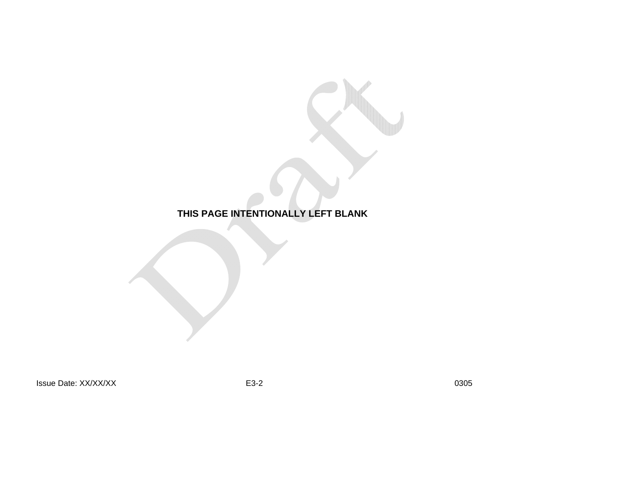## **THIS PAGE INTENTIONALLY LEFT BLANK**

Issue Date: XX/XX/XX Date: E3-2

0305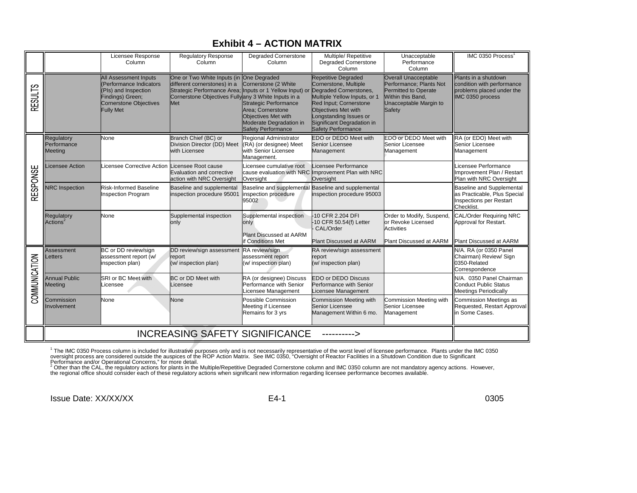### **Exhibit 4 – ACTION MATRIX**

|                |                                             | Licensee Response<br>Column                                                                                                                              | <b>Regulatory Response</b><br>Column                                                                                                                                                                      | <b>Degraded Cornerstone</b><br>Column                                                                                                                    | Multiple/ Repetitive<br><b>Degraded Cornerstone</b><br>Column                                                                                                                                                                                | Unacceptable<br>Performance<br>Column                                                                                                   | IMC 0350 Process <sup>1</sup>                                                                             |
|----------------|---------------------------------------------|----------------------------------------------------------------------------------------------------------------------------------------------------------|-----------------------------------------------------------------------------------------------------------------------------------------------------------------------------------------------------------|----------------------------------------------------------------------------------------------------------------------------------------------------------|----------------------------------------------------------------------------------------------------------------------------------------------------------------------------------------------------------------------------------------------|-----------------------------------------------------------------------------------------------------------------------------------------|-----------------------------------------------------------------------------------------------------------|
| <b>RESULTS</b> |                                             | <b>All Assessment Inputs</b><br>(Performance Indicators<br>(PIs) and Inspection<br>Findings) Green;<br><b>Cornerstone Objectives</b><br><b>Fully Met</b> | One or Two White Inputs (in One Degraded<br>different cornerstones) in a<br>Strategic Performance Area; Inputs or 1 Yellow Input) or<br>Cornerstone Objectives Fullyany 3 White Inputs in a<br><b>Met</b> | Cornerstone (2 White<br>Strategic Performance<br>Area: Cornerstone<br><b>Objectives Met with</b><br>Moderate Degradation in<br><b>Safety Performance</b> | <b>Repetitive Degraded</b><br>Cornerstone, Multiple<br>Degraded Cornerstones,<br>Multiple Yellow Inputs, or 1<br>Red Input; Cornerstone<br>Objectives Met with<br>Longstanding Issues or<br>Significant Degradation in<br>Safety Performance | <b>Overall Unacceptable</b><br>Performance: Plants Not<br>Permitted to Operate<br>Within this Band,<br>Unacceptable Margin to<br>Safety | Plants in a shutdown<br>condition with performance<br>problems placed under the<br>IMC 0350 process       |
|                | Regulatory<br>Performance<br><b>Meeting</b> | None                                                                                                                                                     | Branch Chief (BC) or<br>Division Director (DD) Meet<br>with Licensee                                                                                                                                      | Regional Administrator<br>(RA) (or designee) Meet<br>with Senior Licensee<br>Management.                                                                 | EDO or DEDO Meet with<br>Senior Licensee<br>Management                                                                                                                                                                                       | EDO or DEDO Meet with<br>Senior Licensee<br>Management                                                                                  | RA (or EDO) Meet with<br>Senior Licensee<br>Management                                                    |
| RESPONSE       | <b>Licensee Action</b>                      | Licensee Corrective Action                                                                                                                               | Licensee Root cause<br>Evaluation and corrective<br>action with NRC Oversight                                                                                                                             | Licensee cumulative root<br>cause evaluation with NRC<br>Oversight                                                                                       | Licensee Performance<br>Improvement Plan with NRC<br>Oversight                                                                                                                                                                               |                                                                                                                                         | Licensee Performance<br>Improvement Plan / Restart<br>Plan with NRC Oversight                             |
|                | <b>NRC</b> Inspection                       | Risk-Informed Baseline<br><b>Inspection Program</b>                                                                                                      | Baseline and supplemental<br>inspection procedure 95001                                                                                                                                                   | Baseline and supplemental<br>inspection procedure<br>95002                                                                                               | Baseline and supplemental<br>nspection procedure 95003                                                                                                                                                                                       |                                                                                                                                         | <b>Baseline and Supplemental</b><br>as Practicable, Plus Special<br>Inspections per Restart<br>Checklist. |
|                | Regulatory<br>Actions <sup>2</sup>          | None                                                                                                                                                     | Supplemental inspection<br>only                                                                                                                                                                           | Supplemental inspection<br>only<br><b>Plant Discussed at AARM</b>                                                                                        | 10 CFR 2.204 DFI<br>10 CFR 50.54(f) Letter<br>CAL/Order                                                                                                                                                                                      | Order to Modify, Suspend,<br>or Revoke Licensed<br>Activities                                                                           | <b>CAL/Order Requiring NRC</b><br>Approval for Restart.                                                   |
|                | Assessment                                  | BC or DD review/sign                                                                                                                                     | DD review/sign assessment                                                                                                                                                                                 | if Conditions Met<br>RA review/sign                                                                                                                      | <b>Plant Discussed at AARM</b><br>RA review/sign assessment                                                                                                                                                                                  | Plant Discussed at AARM                                                                                                                 | Plant Discussed at AARM<br>N/A. RA (or 0350 Panel                                                         |
|                | Letters                                     | assessment report (w/<br>inspection plan)                                                                                                                | report<br>(w/ inspection plan)                                                                                                                                                                            | assessment report<br>(w/ inspection plan)                                                                                                                | report<br>(w/ inspection plan)                                                                                                                                                                                                               |                                                                                                                                         | Chairman) Review/ Sign<br>0350-Related<br>Correspondence                                                  |
| COMMUNICATION  | <b>Annual Public</b><br><b>Meeting</b>      | SRI or BC Meet with<br>Licensee                                                                                                                          | <b>BC or DD Meet with</b><br>Licensee                                                                                                                                                                     | RA (or designee) Discuss<br>Performance with Senior<br>Licensee Management                                                                               | EDO or DEDO Discuss<br>Performance with Senior<br>icensee Management                                                                                                                                                                         |                                                                                                                                         | N/A. 0350 Panel Chairman<br><b>Conduct Public Status</b><br><b>Meetings Periodically</b>                  |
|                | Commission<br>Involvement                   | None                                                                                                                                                     | None                                                                                                                                                                                                      | Possible Commission<br>Meeting if Licensee<br>Remains for 3 yrs                                                                                          | Commission Meeting with<br>Senior Licensee<br>Management Within 6 mo.                                                                                                                                                                        | <b>Commission Meeting with</b><br>Senior Licensee<br>Management                                                                         | <b>Commission Meetings as</b><br>Requested, Restart Approval<br>in Some Cases.                            |
|                |                                             |                                                                                                                                                          | <b>INCREASING SAFETY SIGNIFICANCE</b>                                                                                                                                                                     |                                                                                                                                                          |                                                                                                                                                                                                                                              |                                                                                                                                         |                                                                                                           |

<sup>1</sup> The IMC 0350 Process column is included for illustrative purposes only and is not necessarily representative of the worst level of licensee performance. Plants under the IMC 0350<br>oversight process are considered outsid

the regional office should consider each of these regulatory actions when significant new information regarding licensee performance becomes available.

Issue Date: XX/XX/XX 0305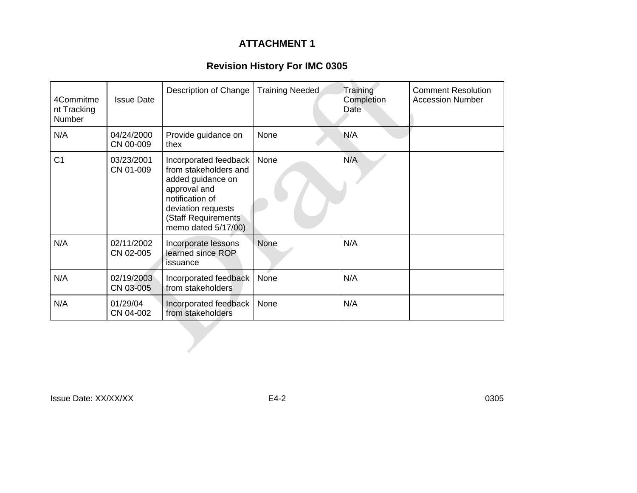### **ATTACHMENT 1**

# **Revision History For IMC 0305**

| 4Commitme<br>nt Tracking<br>Number | <b>Issue Date</b>       | Description of Change                                                                                                                                                      | <b>Training Needed</b> | Training<br>Completion<br>Date | <b>Comment Resolution</b><br><b>Accession Number</b> |
|------------------------------------|-------------------------|----------------------------------------------------------------------------------------------------------------------------------------------------------------------------|------------------------|--------------------------------|------------------------------------------------------|
| N/A                                | 04/24/2000<br>CN 00-009 | Provide guidance on<br>thex                                                                                                                                                | None                   | N/A                            |                                                      |
| C <sub>1</sub>                     | 03/23/2001<br>CN 01-009 | Incorporated feedback<br>from stakeholders and<br>added guidance on<br>approval and<br>notification of<br>deviation requests<br>(Staff Requirements<br>memo dated 5/17/00) | None                   | N/A                            |                                                      |
| N/A                                | 02/11/2002<br>CN 02-005 | Incorporate lessons<br>learned since ROP<br>issuance                                                                                                                       | None                   | N/A                            |                                                      |
| N/A                                | 02/19/2003<br>CN 03-005 | Incorporated feedback<br>from stakeholders                                                                                                                                 | None                   | N/A                            |                                                      |
| N/A                                | 01/29/04<br>CN 04-002   | Incorporated feedback<br>from stakeholders                                                                                                                                 | None                   | N/A                            |                                                      |

Issue Date: XX/XX/XX extended that the E4-2

0305